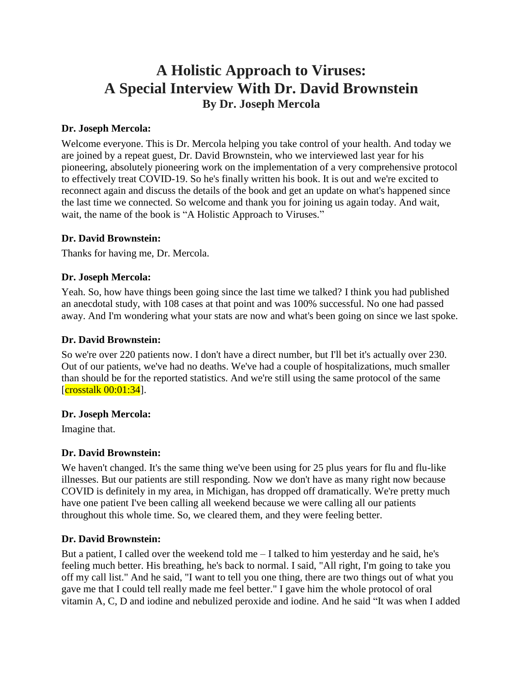# **A Holistic Approach to Viruses: A Special Interview With Dr. David Brownstein By Dr. Joseph Mercola**

#### **Dr. Joseph Mercola:**

Welcome everyone. This is Dr. Mercola helping you take control of your health. And today we are joined by a repeat guest, Dr. David Brownstein, who we interviewed last year for his pioneering, absolutely pioneering work on the implementation of a very comprehensive protocol to effectively treat COVID-19. So he's finally written his book. It is out and we're excited to reconnect again and discuss the details of the book and get an update on what's happened since the last time we connected. So welcome and thank you for joining us again today. And wait, wait, the name of the book is "A Holistic Approach to Viruses."

#### **Dr. David Brownstein:**

Thanks for having me, Dr. Mercola.

#### **Dr. Joseph Mercola:**

Yeah. So, how have things been going since the last time we talked? I think you had published an anecdotal study, with 108 cases at that point and was 100% successful. No one had passed away. And I'm wondering what your stats are now and what's been going on since we last spoke.

#### **Dr. David Brownstein:**

So we're over 220 patients now. I don't have a direct number, but I'll bet it's actually over 230. Out of our patients, we've had no deaths. We've had a couple of hospitalizations, much smaller than should be for the reported statistics. And we're still using the same protocol of the same  $[{\rm crosstalk~00:01:34}]$ .

#### **Dr. Joseph Mercola:**

Imagine that.

#### **Dr. David Brownstein:**

We haven't changed. It's the same thing we've been using for 25 plus years for flu and flu-like illnesses. But our patients are still responding. Now we don't have as many right now because COVID is definitely in my area, in Michigan, has dropped off dramatically. We're pretty much have one patient I've been calling all weekend because we were calling all our patients throughout this whole time. So, we cleared them, and they were feeling better.

#### **Dr. David Brownstein:**

But a patient, I called over the weekend told me – I talked to him yesterday and he said, he's feeling much better. His breathing, he's back to normal. I said, "All right, I'm going to take you off my call list." And he said, "I want to tell you one thing, there are two things out of what you gave me that I could tell really made me feel better." I gave him the whole protocol of oral vitamin A, C, D and iodine and nebulized peroxide and iodine. And he said "It was when I added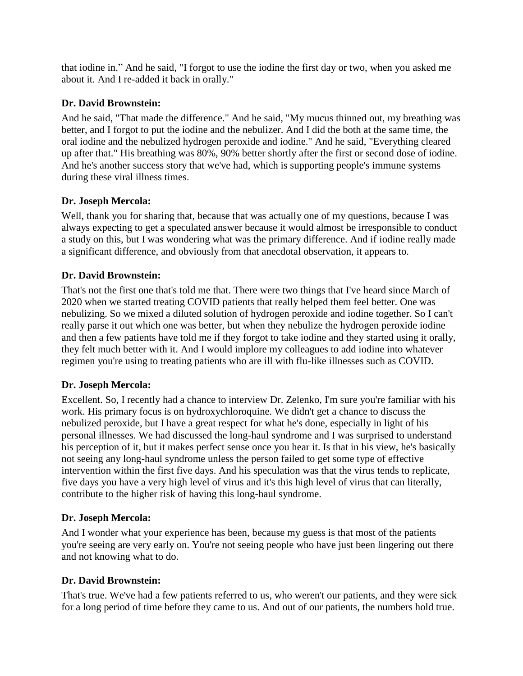that iodine in." And he said, "I forgot to use the iodine the first day or two, when you asked me about it. And I re-added it back in orally."

# **Dr. David Brownstein:**

And he said, "That made the difference." And he said, "My mucus thinned out, my breathing was better, and I forgot to put the iodine and the nebulizer. And I did the both at the same time, the oral iodine and the nebulized hydrogen peroxide and iodine." And he said, "Everything cleared up after that." His breathing was 80%, 90% better shortly after the first or second dose of iodine. And he's another success story that we've had, which is supporting people's immune systems during these viral illness times.

# **Dr. Joseph Mercola:**

Well, thank you for sharing that, because that was actually one of my questions, because I was always expecting to get a speculated answer because it would almost be irresponsible to conduct a study on this, but I was wondering what was the primary difference. And if iodine really made a significant difference, and obviously from that anecdotal observation, it appears to.

# **Dr. David Brownstein:**

That's not the first one that's told me that. There were two things that I've heard since March of 2020 when we started treating COVID patients that really helped them feel better. One was nebulizing. So we mixed a diluted solution of hydrogen peroxide and iodine together. So I can't really parse it out which one was better, but when they nebulize the hydrogen peroxide iodine – and then a few patients have told me if they forgot to take iodine and they started using it orally, they felt much better with it. And I would implore my colleagues to add iodine into whatever regimen you're using to treating patients who are ill with flu-like illnesses such as COVID.

# **Dr. Joseph Mercola:**

Excellent. So, I recently had a chance to interview Dr. Zelenko, I'm sure you're familiar with his work. His primary focus is on hydroxychloroquine. We didn't get a chance to discuss the nebulized peroxide, but I have a great respect for what he's done, especially in light of his personal illnesses. We had discussed the long-haul syndrome and I was surprised to understand his perception of it, but it makes perfect sense once you hear it. Is that in his view, he's basically not seeing any long-haul syndrome unless the person failed to get some type of effective intervention within the first five days. And his speculation was that the virus tends to replicate, five days you have a very high level of virus and it's this high level of virus that can literally, contribute to the higher risk of having this long-haul syndrome.

# **Dr. Joseph Mercola:**

And I wonder what your experience has been, because my guess is that most of the patients you're seeing are very early on. You're not seeing people who have just been lingering out there and not knowing what to do.

# **Dr. David Brownstein:**

That's true. We've had a few patients referred to us, who weren't our patients, and they were sick for a long period of time before they came to us. And out of our patients, the numbers hold true.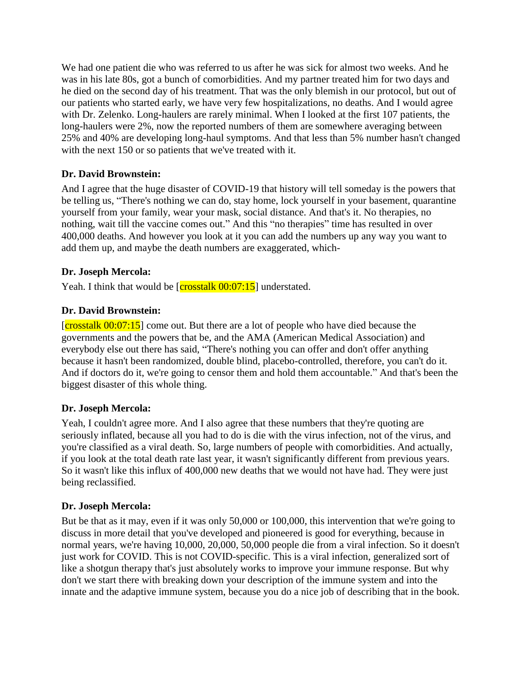We had one patient die who was referred to us after he was sick for almost two weeks. And he was in his late 80s, got a bunch of comorbidities. And my partner treated him for two days and he died on the second day of his treatment. That was the only blemish in our protocol, but out of our patients who started early, we have very few hospitalizations, no deaths. And I would agree with Dr. Zelenko. Long-haulers are rarely minimal. When I looked at the first 107 patients, the long-haulers were 2%, now the reported numbers of them are somewhere averaging between 25% and 40% are developing long-haul symptoms. And that less than 5% number hasn't changed with the next 150 or so patients that we've treated with it.

# **Dr. David Brownstein:**

And I agree that the huge disaster of COVID-19 that history will tell someday is the powers that be telling us, "There's nothing we can do, stay home, lock yourself in your basement, quarantine yourself from your family, wear your mask, social distance. And that's it. No therapies, no nothing, wait till the vaccine comes out." And this "no therapies" time has resulted in over 400,000 deaths. And however you look at it you can add the numbers up any way you want to add them up, and maybe the death numbers are exaggerated, which-

# **Dr. Joseph Mercola:**

Yeah. I think that would be  $\left[{\text{crosstalk 00:07:15}}\right]$  understated.

# **Dr. David Brownstein:**

 $[{\rm crosstalk}\, 00:07:15]$  come out. But there are a lot of people who have died because the governments and the powers that be, and the AMA (American Medical Association) and everybody else out there has said, "There's nothing you can offer and don't offer anything because it hasn't been randomized, double blind, placebo-controlled, therefore, you can't do it. And if doctors do it, we're going to censor them and hold them accountable." And that's been the biggest disaster of this whole thing.

# **Dr. Joseph Mercola:**

Yeah, I couldn't agree more. And I also agree that these numbers that they're quoting are seriously inflated, because all you had to do is die with the virus infection, not of the virus, and you're classified as a viral death. So, large numbers of people with comorbidities. And actually, if you look at the total death rate last year, it wasn't significantly different from previous years. So it wasn't like this influx of 400,000 new deaths that we would not have had. They were just being reclassified.

# **Dr. Joseph Mercola:**

But be that as it may, even if it was only 50,000 or 100,000, this intervention that we're going to discuss in more detail that you've developed and pioneered is good for everything, because in normal years, we're having 10,000, 20,000, 50,000 people die from a viral infection. So it doesn't just work for COVID. This is not COVID-specific. This is a viral infection, generalized sort of like a shotgun therapy that's just absolutely works to improve your immune response. But why don't we start there with breaking down your description of the immune system and into the innate and the adaptive immune system, because you do a nice job of describing that in the book.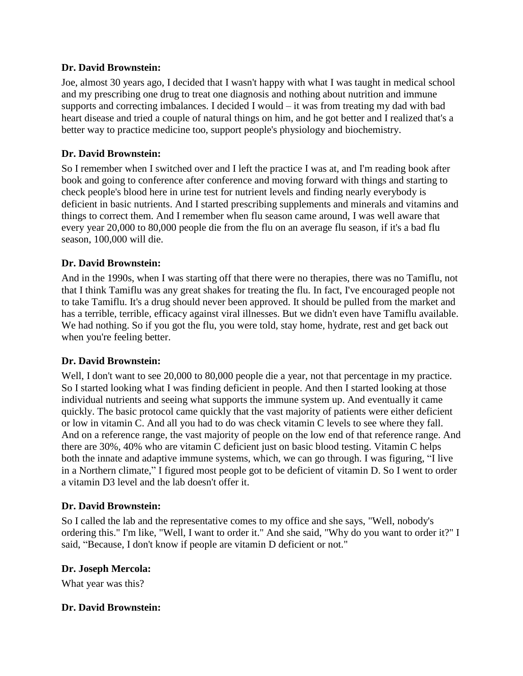#### **Dr. David Brownstein:**

Joe, almost 30 years ago, I decided that I wasn't happy with what I was taught in medical school and my prescribing one drug to treat one diagnosis and nothing about nutrition and immune supports and correcting imbalances. I decided I would – it was from treating my dad with bad heart disease and tried a couple of natural things on him, and he got better and I realized that's a better way to practice medicine too, support people's physiology and biochemistry.

#### **Dr. David Brownstein:**

So I remember when I switched over and I left the practice I was at, and I'm reading book after book and going to conference after conference and moving forward with things and starting to check people's blood here in urine test for nutrient levels and finding nearly everybody is deficient in basic nutrients. And I started prescribing supplements and minerals and vitamins and things to correct them. And I remember when flu season came around, I was well aware that every year 20,000 to 80,000 people die from the flu on an average flu season, if it's a bad flu season, 100,000 will die.

# **Dr. David Brownstein:**

And in the 1990s, when I was starting off that there were no therapies, there was no Tamiflu, not that I think Tamiflu was any great shakes for treating the flu. In fact, I've encouraged people not to take Tamiflu. It's a drug should never been approved. It should be pulled from the market and has a terrible, terrible, efficacy against viral illnesses. But we didn't even have Tamiflu available. We had nothing. So if you got the flu, you were told, stay home, hydrate, rest and get back out when you're feeling better.

# **Dr. David Brownstein:**

Well, I don't want to see 20,000 to 80,000 people die a year, not that percentage in my practice. So I started looking what I was finding deficient in people. And then I started looking at those individual nutrients and seeing what supports the immune system up. And eventually it came quickly. The basic protocol came quickly that the vast majority of patients were either deficient or low in vitamin C. And all you had to do was check vitamin C levels to see where they fall. And on a reference range, the vast majority of people on the low end of that reference range. And there are 30%, 40% who are vitamin C deficient just on basic blood testing. Vitamin C helps both the innate and adaptive immune systems, which, we can go through. I was figuring, "I live in a Northern climate," I figured most people got to be deficient of vitamin D. So I went to order a vitamin D3 level and the lab doesn't offer it.

#### **Dr. David Brownstein:**

So I called the lab and the representative comes to my office and she says, "Well, nobody's ordering this." I'm like, "Well, I want to order it." And she said, "Why do you want to order it?" I said, "Because, I don't know if people are vitamin D deficient or not."

#### **Dr. Joseph Mercola:**

What year was this?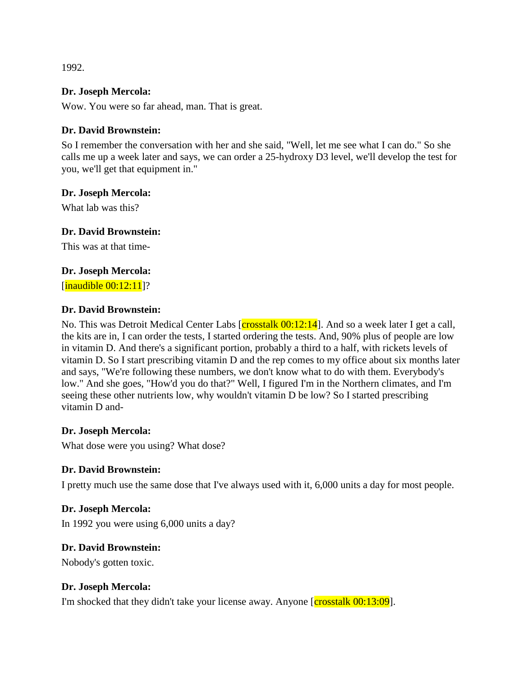1992.

#### **Dr. Joseph Mercola:**

Wow. You were so far ahead, man. That is great.

#### **Dr. David Brownstein:**

So I remember the conversation with her and she said, "Well, let me see what I can do." So she calls me up a week later and says, we can order a 25-hydroxy D3 level, we'll develop the test for you, we'll get that equipment in."

#### **Dr. Joseph Mercola:**

What lab was this?

#### **Dr. David Brownstein:**

This was at that time-

#### **Dr. Joseph Mercola:**

 $[\text{inaudible } 00:12:11]$ ?

#### **Dr. David Brownstein:**

No. This was Detroit Medical Center Labs [crosstalk  $00:12:14$ ]. And so a week later I get a call, the kits are in, I can order the tests, I started ordering the tests. And, 90% plus of people are low in vitamin D. And there's a significant portion, probably a third to a half, with rickets levels of vitamin D. So I start prescribing vitamin D and the rep comes to my office about six months later and says, "We're following these numbers, we don't know what to do with them. Everybody's low." And she goes, "How'd you do that?" Well, I figured I'm in the Northern climates, and I'm seeing these other nutrients low, why wouldn't vitamin D be low? So I started prescribing vitamin D and-

#### **Dr. Joseph Mercola:**

What dose were you using? What dose?

# **Dr. David Brownstein:**

I pretty much use the same dose that I've always used with it, 6,000 units a day for most people.

# **Dr. Joseph Mercola:**

In 1992 you were using 6,000 units a day?

# **Dr. David Brownstein:**

Nobody's gotten toxic.

#### **Dr. Joseph Mercola:**

I'm shocked that they didn't take your license away. Anyone  $\left[{\text{crosstalk 00:13:09}}\right]$ .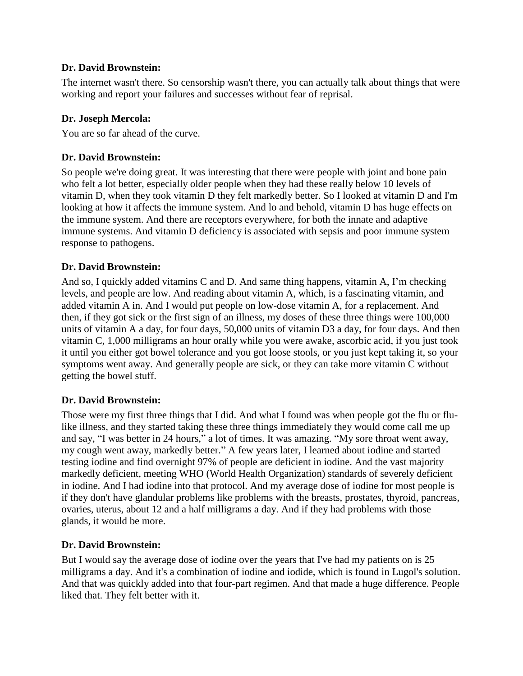# **Dr. David Brownstein:**

The internet wasn't there. So censorship wasn't there, you can actually talk about things that were working and report your failures and successes without fear of reprisal.

#### **Dr. Joseph Mercola:**

You are so far ahead of the curve.

# **Dr. David Brownstein:**

So people we're doing great. It was interesting that there were people with joint and bone pain who felt a lot better, especially older people when they had these really below 10 levels of vitamin D, when they took vitamin D they felt markedly better. So I looked at vitamin D and I'm looking at how it affects the immune system. And lo and behold, vitamin D has huge effects on the immune system. And there are receptors everywhere, for both the innate and adaptive immune systems. And vitamin D deficiency is associated with sepsis and poor immune system response to pathogens.

# **Dr. David Brownstein:**

And so, I quickly added vitamins C and D. And same thing happens, vitamin A, I'm checking levels, and people are low. And reading about vitamin A, which, is a fascinating vitamin, and added vitamin A in. And I would put people on low-dose vitamin A, for a replacement. And then, if they got sick or the first sign of an illness, my doses of these three things were 100,000 units of vitamin A a day, for four days, 50,000 units of vitamin D3 a day, for four days. And then vitamin C, 1,000 milligrams an hour orally while you were awake, ascorbic acid, if you just took it until you either got bowel tolerance and you got loose stools, or you just kept taking it, so your symptoms went away. And generally people are sick, or they can take more vitamin C without getting the bowel stuff.

# **Dr. David Brownstein:**

Those were my first three things that I did. And what I found was when people got the flu or flulike illness, and they started taking these three things immediately they would come call me up and say, "I was better in 24 hours," a lot of times. It was amazing. "My sore throat went away, my cough went away, markedly better." A few years later, I learned about iodine and started testing iodine and find overnight 97% of people are deficient in iodine. And the vast majority markedly deficient, meeting WHO (World Health Organization) standards of severely deficient in iodine. And I had iodine into that protocol. And my average dose of iodine for most people is if they don't have glandular problems like problems with the breasts, prostates, thyroid, pancreas, ovaries, uterus, about 12 and a half milligrams a day. And if they had problems with those glands, it would be more.

# **Dr. David Brownstein:**

But I would say the average dose of iodine over the years that I've had my patients on is 25 milligrams a day. And it's a combination of iodine and iodide, which is found in Lugol's solution. And that was quickly added into that four-part regimen. And that made a huge difference. People liked that. They felt better with it.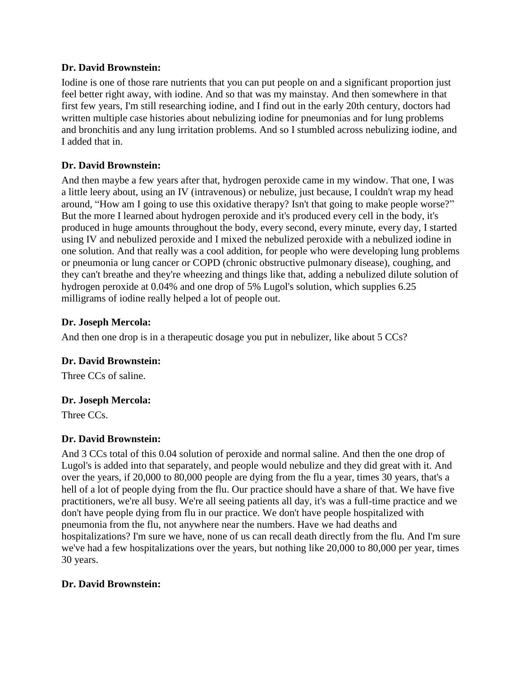#### **Dr. David Brownstein:**

Iodine is one of those rare nutrients that you can put people on and a significant proportion just feel better right away, with iodine. And so that was my mainstay. And then somewhere in that first few years, I'm still researching iodine, and I find out in the early 20th century, doctors had written multiple case histories about nebulizing iodine for pneumonias and for lung problems and bronchitis and any lung irritation problems. And so I stumbled across nebulizing iodine, and I added that in.

# **Dr. David Brownstein:**

And then maybe a few years after that, hydrogen peroxide came in my window. That one, I was a little leery about, using an IV (intravenous) or nebulize, just because, I couldn't wrap my head around, "How am I going to use this oxidative therapy? Isn't that going to make people worse?" But the more I learned about hydrogen peroxide and it's produced every cell in the body, it's produced in huge amounts throughout the body, every second, every minute, every day, I started using IV and nebulized peroxide and I mixed the nebulized peroxide with a nebulized iodine in one solution. And that really was a cool addition, for people who were developing lung problems or pneumonia or lung cancer or COPD (chronic obstructive pulmonary disease), coughing, and they can't breathe and they're wheezing and things like that, adding a nebulized dilute solution of hydrogen peroxide at 0.04% and one drop of 5% Lugol's solution, which supplies 6.25 milligrams of iodine really helped a lot of people out.

#### **Dr. Joseph Mercola:**

And then one drop is in a therapeutic dosage you put in nebulizer, like about 5 CCs?

# **Dr. David Brownstein:**

Three CCs of saline.

# **Dr. Joseph Mercola:**

Three CCs.

# **Dr. David Brownstein:**

And 3 CCs total of this 0.04 solution of peroxide and normal saline. And then the one drop of Lugol's is added into that separately, and people would nebulize and they did great with it. And over the years, if 20,000 to 80,000 people are dying from the flu a year, times 30 years, that's a hell of a lot of people dying from the flu. Our practice should have a share of that. We have five practitioners, we're all busy. We're all seeing patients all day, it's was a full-time practice and we don't have people dying from flu in our practice. We don't have people hospitalized with pneumonia from the flu, not anywhere near the numbers. Have we had deaths and hospitalizations? I'm sure we have, none of us can recall death directly from the flu. And I'm sure we've had a few hospitalizations over the years, but nothing like 20,000 to 80,000 per year, times 30 years.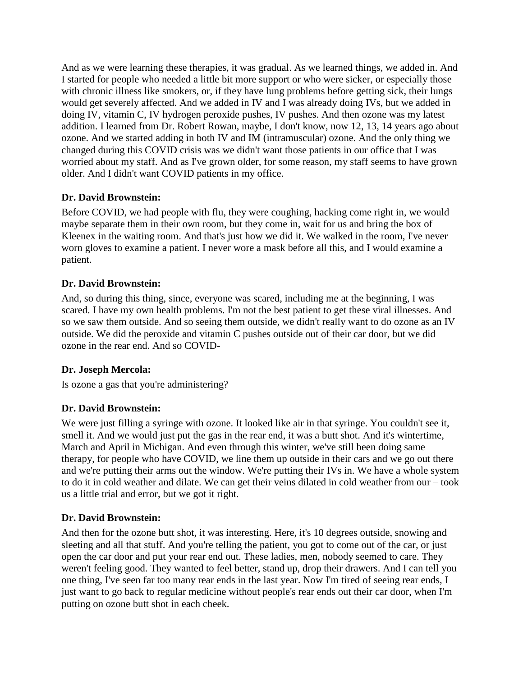And as we were learning these therapies, it was gradual. As we learned things, we added in. And I started for people who needed a little bit more support or who were sicker, or especially those with chronic illness like smokers, or, if they have lung problems before getting sick, their lungs would get severely affected. And we added in IV and I was already doing IVs, but we added in doing IV, vitamin C, IV hydrogen peroxide pushes, IV pushes. And then ozone was my latest addition. I learned from Dr. Robert Rowan, maybe, I don't know, now 12, 13, 14 years ago about ozone. And we started adding in both IV and IM (intramuscular) ozone. And the only thing we changed during this COVID crisis was we didn't want those patients in our office that I was worried about my staff. And as I've grown older, for some reason, my staff seems to have grown older. And I didn't want COVID patients in my office.

# **Dr. David Brownstein:**

Before COVID, we had people with flu, they were coughing, hacking come right in, we would maybe separate them in their own room, but they come in, wait for us and bring the box of Kleenex in the waiting room. And that's just how we did it. We walked in the room, I've never worn gloves to examine a patient. I never wore a mask before all this, and I would examine a patient.

# **Dr. David Brownstein:**

And, so during this thing, since, everyone was scared, including me at the beginning, I was scared. I have my own health problems. I'm not the best patient to get these viral illnesses. And so we saw them outside. And so seeing them outside, we didn't really want to do ozone as an IV outside. We did the peroxide and vitamin C pushes outside out of their car door, but we did ozone in the rear end. And so COVID-

# **Dr. Joseph Mercola:**

Is ozone a gas that you're administering?

# **Dr. David Brownstein:**

We were just filling a syringe with ozone. It looked like air in that syringe. You couldn't see it, smell it. And we would just put the gas in the rear end, it was a butt shot. And it's wintertime, March and April in Michigan. And even through this winter, we've still been doing same therapy, for people who have COVID, we line them up outside in their cars and we go out there and we're putting their arms out the window. We're putting their IVs in. We have a whole system to do it in cold weather and dilate. We can get their veins dilated in cold weather from our – took us a little trial and error, but we got it right.

# **Dr. David Brownstein:**

And then for the ozone butt shot, it was interesting. Here, it's 10 degrees outside, snowing and sleeting and all that stuff. And you're telling the patient, you got to come out of the car, or just open the car door and put your rear end out. These ladies, men, nobody seemed to care. They weren't feeling good. They wanted to feel better, stand up, drop their drawers. And I can tell you one thing, I've seen far too many rear ends in the last year. Now I'm tired of seeing rear ends, I just want to go back to regular medicine without people's rear ends out their car door, when I'm putting on ozone butt shot in each cheek.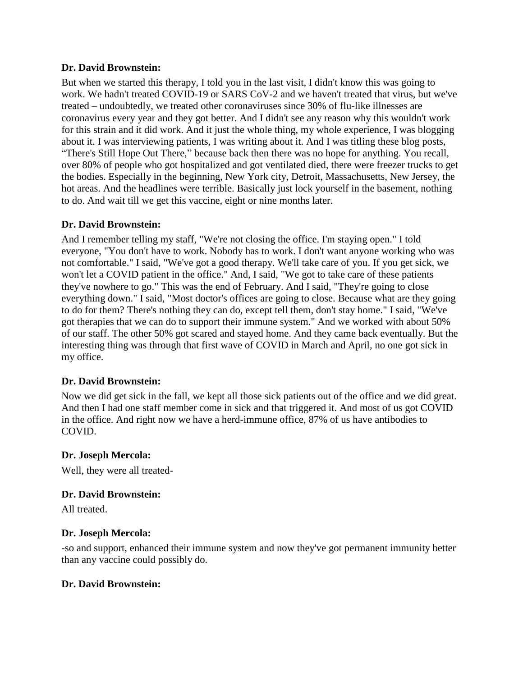#### **Dr. David Brownstein:**

But when we started this therapy, I told you in the last visit, I didn't know this was going to work. We hadn't treated COVID-19 or SARS CoV-2 and we haven't treated that virus, but we've treated – undoubtedly, we treated other coronaviruses since 30% of flu-like illnesses are coronavirus every year and they got better. And I didn't see any reason why this wouldn't work for this strain and it did work. And it just the whole thing, my whole experience, I was blogging about it. I was interviewing patients, I was writing about it. And I was titling these blog posts, "There's Still Hope Out There," because back then there was no hope for anything. You recall, over 80% of people who got hospitalized and got ventilated died, there were freezer trucks to get the bodies. Especially in the beginning, New York city, Detroit, Massachusetts, New Jersey, the hot areas. And the headlines were terrible. Basically just lock yourself in the basement, nothing to do. And wait till we get this vaccine, eight or nine months later.

# **Dr. David Brownstein:**

And I remember telling my staff, "We're not closing the office. I'm staying open." I told everyone, "You don't have to work. Nobody has to work. I don't want anyone working who was not comfortable." I said, "We've got a good therapy. We'll take care of you. If you get sick, we won't let a COVID patient in the office." And, I said, "We got to take care of these patients they've nowhere to go." This was the end of February. And I said, "They're going to close everything down." I said, "Most doctor's offices are going to close. Because what are they going to do for them? There's nothing they can do, except tell them, don't stay home." I said, "We've got therapies that we can do to support their immune system." And we worked with about 50% of our staff. The other 50% got scared and stayed home. And they came back eventually. But the interesting thing was through that first wave of COVID in March and April, no one got sick in my office.

# **Dr. David Brownstein:**

Now we did get sick in the fall, we kept all those sick patients out of the office and we did great. And then I had one staff member come in sick and that triggered it. And most of us got COVID in the office. And right now we have a herd-immune office, 87% of us have antibodies to COVID.

#### **Dr. Joseph Mercola:**

Well, they were all treated-

# **Dr. David Brownstein:**

All treated.

#### **Dr. Joseph Mercola:**

-so and support, enhanced their immune system and now they've got permanent immunity better than any vaccine could possibly do.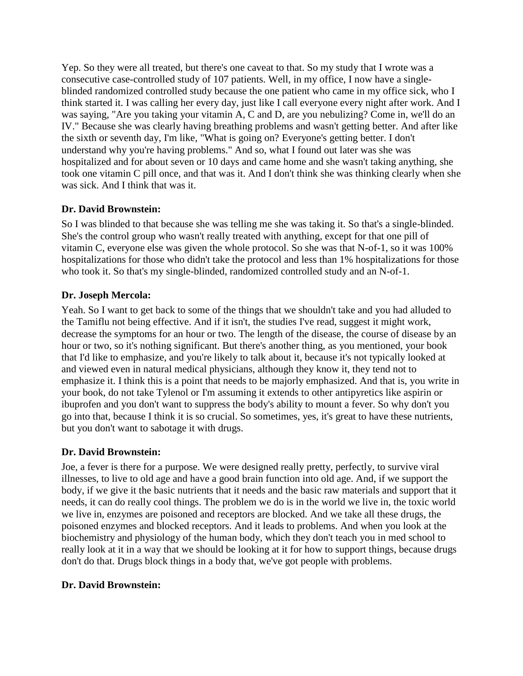Yep. So they were all treated, but there's one caveat to that. So my study that I wrote was a consecutive case-controlled study of 107 patients. Well, in my office, I now have a singleblinded randomized controlled study because the one patient who came in my office sick, who I think started it. I was calling her every day, just like I call everyone every night after work. And I was saying, "Are you taking your vitamin A, C and D, are you nebulizing? Come in, we'll do an IV." Because she was clearly having breathing problems and wasn't getting better. And after like the sixth or seventh day, I'm like, "What is going on? Everyone's getting better. I don't understand why you're having problems." And so, what I found out later was she was hospitalized and for about seven or 10 days and came home and she wasn't taking anything, she took one vitamin C pill once, and that was it. And I don't think she was thinking clearly when she was sick. And I think that was it.

# **Dr. David Brownstein:**

So I was blinded to that because she was telling me she was taking it. So that's a single-blinded. She's the control group who wasn't really treated with anything, except for that one pill of vitamin C, everyone else was given the whole protocol. So she was that N-of-1, so it was 100% hospitalizations for those who didn't take the protocol and less than 1% hospitalizations for those who took it. So that's my single-blinded, randomized controlled study and an N-of-1.

# **Dr. Joseph Mercola:**

Yeah. So I want to get back to some of the things that we shouldn't take and you had alluded to the Tamiflu not being effective. And if it isn't, the studies I've read, suggest it might work, decrease the symptoms for an hour or two. The length of the disease, the course of disease by an hour or two, so it's nothing significant. But there's another thing, as you mentioned, your book that I'd like to emphasize, and you're likely to talk about it, because it's not typically looked at and viewed even in natural medical physicians, although they know it, they tend not to emphasize it. I think this is a point that needs to be majorly emphasized. And that is, you write in your book, do not take Tylenol or I'm assuming it extends to other antipyretics like aspirin or ibuprofen and you don't want to suppress the body's ability to mount a fever. So why don't you go into that, because I think it is so crucial. So sometimes, yes, it's great to have these nutrients, but you don't want to sabotage it with drugs.

# **Dr. David Brownstein:**

Joe, a fever is there for a purpose. We were designed really pretty, perfectly, to survive viral illnesses, to live to old age and have a good brain function into old age. And, if we support the body, if we give it the basic nutrients that it needs and the basic raw materials and support that it needs, it can do really cool things. The problem we do is in the world we live in, the toxic world we live in, enzymes are poisoned and receptors are blocked. And we take all these drugs, the poisoned enzymes and blocked receptors. And it leads to problems. And when you look at the biochemistry and physiology of the human body, which they don't teach you in med school to really look at it in a way that we should be looking at it for how to support things, because drugs don't do that. Drugs block things in a body that, we've got people with problems.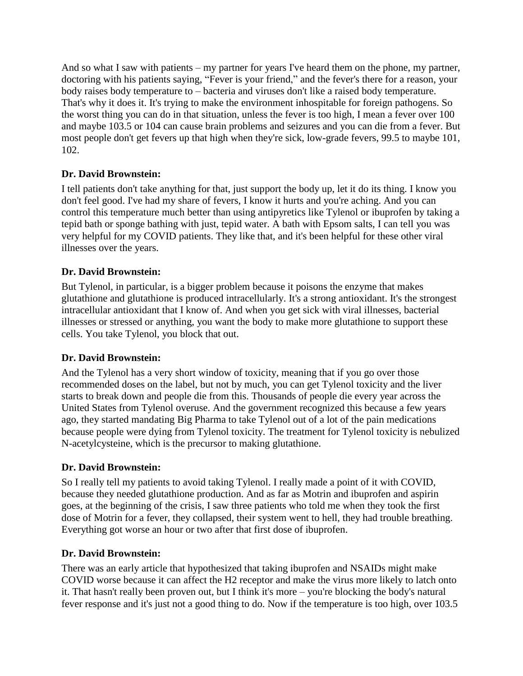And so what I saw with patients – my partner for years I've heard them on the phone, my partner, doctoring with his patients saying, "Fever is your friend," and the fever's there for a reason, your body raises body temperature to – bacteria and viruses don't like a raised body temperature. That's why it does it. It's trying to make the environment inhospitable for foreign pathogens. So the worst thing you can do in that situation, unless the fever is too high, I mean a fever over 100 and maybe 103.5 or 104 can cause brain problems and seizures and you can die from a fever. But most people don't get fevers up that high when they're sick, low-grade fevers, 99.5 to maybe 101, 102.

# **Dr. David Brownstein:**

I tell patients don't take anything for that, just support the body up, let it do its thing. I know you don't feel good. I've had my share of fevers, I know it hurts and you're aching. And you can control this temperature much better than using antipyretics like Tylenol or ibuprofen by taking a tepid bath or sponge bathing with just, tepid water. A bath with Epsom salts, I can tell you was very helpful for my COVID patients. They like that, and it's been helpful for these other viral illnesses over the years.

# **Dr. David Brownstein:**

But Tylenol, in particular, is a bigger problem because it poisons the enzyme that makes glutathione and glutathione is produced intracellularly. It's a strong antioxidant. It's the strongest intracellular antioxidant that I know of. And when you get sick with viral illnesses, bacterial illnesses or stressed or anything, you want the body to make more glutathione to support these cells. You take Tylenol, you block that out.

# **Dr. David Brownstein:**

And the Tylenol has a very short window of toxicity, meaning that if you go over those recommended doses on the label, but not by much, you can get Tylenol toxicity and the liver starts to break down and people die from this. Thousands of people die every year across the United States from Tylenol overuse. And the government recognized this because a few years ago, they started mandating Big Pharma to take Tylenol out of a lot of the pain medications because people were dying from Tylenol toxicity. The treatment for Tylenol toxicity is nebulized N-acetylcysteine, which is the precursor to making glutathione.

# **Dr. David Brownstein:**

So I really tell my patients to avoid taking Tylenol. I really made a point of it with COVID, because they needed glutathione production. And as far as Motrin and ibuprofen and aspirin goes, at the beginning of the crisis, I saw three patients who told me when they took the first dose of Motrin for a fever, they collapsed, their system went to hell, they had trouble breathing. Everything got worse an hour or two after that first dose of ibuprofen.

# **Dr. David Brownstein:**

There was an early article that hypothesized that taking ibuprofen and NSAIDs might make COVID worse because it can affect the H2 receptor and make the virus more likely to latch onto it. That hasn't really been proven out, but I think it's more – you're blocking the body's natural fever response and it's just not a good thing to do. Now if the temperature is too high, over 103.5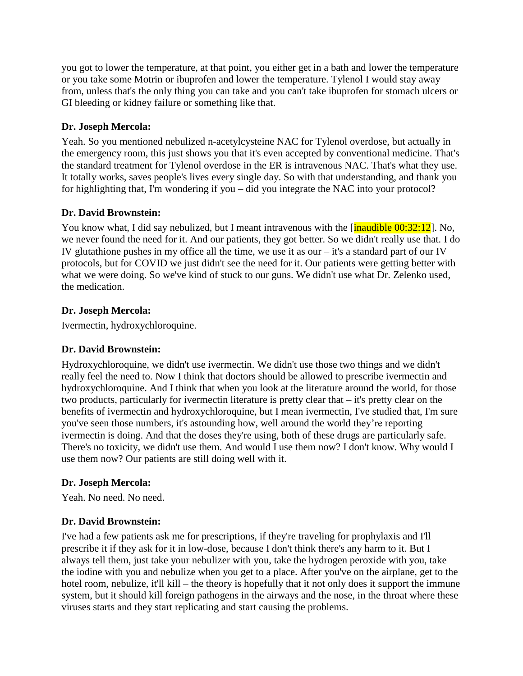you got to lower the temperature, at that point, you either get in a bath and lower the temperature or you take some Motrin or ibuprofen and lower the temperature. Tylenol I would stay away from, unless that's the only thing you can take and you can't take ibuprofen for stomach ulcers or GI bleeding or kidney failure or something like that.

# **Dr. Joseph Mercola:**

Yeah. So you mentioned nebulized n-acetylcysteine NAC for Tylenol overdose, but actually in the emergency room, this just shows you that it's even accepted by conventional medicine. That's the standard treatment for Tylenol overdose in the ER is intravenous NAC. That's what they use. It totally works, saves people's lives every single day. So with that understanding, and thank you for highlighting that, I'm wondering if you – did you integrate the NAC into your protocol?

# **Dr. David Brownstein:**

You know what, I did say nebulized, but I meant intravenous with the [inaudible 00:32:12]. No, we never found the need for it. And our patients, they got better. So we didn't really use that. I do IV glutathione pushes in my office all the time, we use it as our  $-$  it's a standard part of our IV protocols, but for COVID we just didn't see the need for it. Our patients were getting better with what we were doing. So we've kind of stuck to our guns. We didn't use what Dr. Zelenko used, the medication.

# **Dr. Joseph Mercola:**

Ivermectin, hydroxychloroquine.

# **Dr. David Brownstein:**

Hydroxychloroquine, we didn't use ivermectin. We didn't use those two things and we didn't really feel the need to. Now I think that doctors should be allowed to prescribe ivermectin and hydroxychloroquine. And I think that when you look at the literature around the world, for those two products, particularly for ivermectin literature is pretty clear that – it's pretty clear on the benefits of ivermectin and hydroxychloroquine, but I mean ivermectin, I've studied that, I'm sure you've seen those numbers, it's astounding how, well around the world they're reporting ivermectin is doing. And that the doses they're using, both of these drugs are particularly safe. There's no toxicity, we didn't use them. And would I use them now? I don't know. Why would I use them now? Our patients are still doing well with it.

# **Dr. Joseph Mercola:**

Yeah. No need. No need.

# **Dr. David Brownstein:**

I've had a few patients ask me for prescriptions, if they're traveling for prophylaxis and I'll prescribe it if they ask for it in low-dose, because I don't think there's any harm to it. But I always tell them, just take your nebulizer with you, take the hydrogen peroxide with you, take the iodine with you and nebulize when you get to a place. After you've on the airplane, get to the hotel room, nebulize, it'll kill – the theory is hopefully that it not only does it support the immune system, but it should kill foreign pathogens in the airways and the nose, in the throat where these viruses starts and they start replicating and start causing the problems.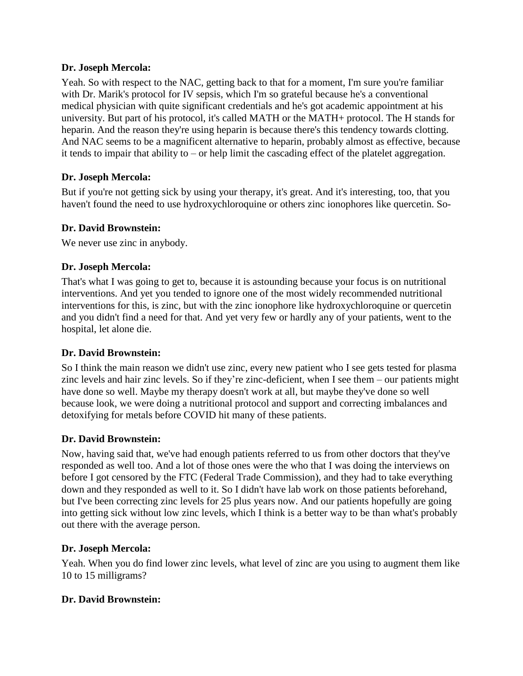Yeah. So with respect to the NAC, getting back to that for a moment, I'm sure you're familiar with Dr. Marik's protocol for IV sepsis, which I'm so grateful because he's a conventional medical physician with quite significant credentials and he's got academic appointment at his university. But part of his protocol, it's called MATH or the MATH+ protocol. The H stands for heparin. And the reason they're using heparin is because there's this tendency towards clotting. And NAC seems to be a magnificent alternative to heparin, probably almost as effective, because it tends to impair that ability to – or help limit the cascading effect of the platelet aggregation.

# **Dr. Joseph Mercola:**

But if you're not getting sick by using your therapy, it's great. And it's interesting, too, that you haven't found the need to use hydroxychloroquine or others zinc ionophores like quercetin. So-

# **Dr. David Brownstein:**

We never use zinc in anybody.

# **Dr. Joseph Mercola:**

That's what I was going to get to, because it is astounding because your focus is on nutritional interventions. And yet you tended to ignore one of the most widely recommended nutritional interventions for this, is zinc, but with the zinc ionophore like hydroxychloroquine or quercetin and you didn't find a need for that. And yet very few or hardly any of your patients, went to the hospital, let alone die.

# **Dr. David Brownstein:**

So I think the main reason we didn't use zinc, every new patient who I see gets tested for plasma zinc levels and hair zinc levels. So if they're zinc-deficient, when I see them – our patients might have done so well. Maybe my therapy doesn't work at all, but maybe they've done so well because look, we were doing a nutritional protocol and support and correcting imbalances and detoxifying for metals before COVID hit many of these patients.

# **Dr. David Brownstein:**

Now, having said that, we've had enough patients referred to us from other doctors that they've responded as well too. And a lot of those ones were the who that I was doing the interviews on before I got censored by the FTC (Federal Trade Commission), and they had to take everything down and they responded as well to it. So I didn't have lab work on those patients beforehand, but I've been correcting zinc levels for 25 plus years now. And our patients hopefully are going into getting sick without low zinc levels, which I think is a better way to be than what's probably out there with the average person.

# **Dr. Joseph Mercola:**

Yeah. When you do find lower zinc levels, what level of zinc are you using to augment them like 10 to 15 milligrams?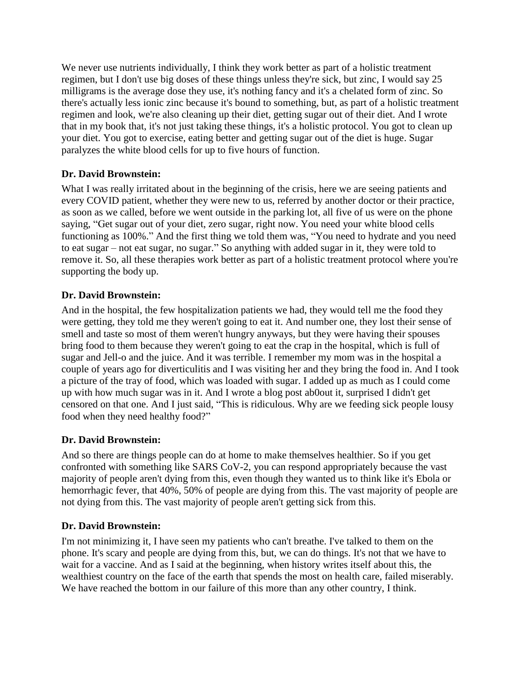We never use nutrients individually, I think they work better as part of a holistic treatment regimen, but I don't use big doses of these things unless they're sick, but zinc, I would say 25 milligrams is the average dose they use, it's nothing fancy and it's a chelated form of zinc. So there's actually less ionic zinc because it's bound to something, but, as part of a holistic treatment regimen and look, we're also cleaning up their diet, getting sugar out of their diet. And I wrote that in my book that, it's not just taking these things, it's a holistic protocol. You got to clean up your diet. You got to exercise, eating better and getting sugar out of the diet is huge. Sugar paralyzes the white blood cells for up to five hours of function.

# **Dr. David Brownstein:**

What I was really irritated about in the beginning of the crisis, here we are seeing patients and every COVID patient, whether they were new to us, referred by another doctor or their practice, as soon as we called, before we went outside in the parking lot, all five of us were on the phone saying, "Get sugar out of your diet, zero sugar, right now. You need your white blood cells functioning as 100%." And the first thing we told them was, "You need to hydrate and you need to eat sugar – not eat sugar, no sugar." So anything with added sugar in it, they were told to remove it. So, all these therapies work better as part of a holistic treatment protocol where you're supporting the body up.

# **Dr. David Brownstein:**

And in the hospital, the few hospitalization patients we had, they would tell me the food they were getting, they told me they weren't going to eat it. And number one, they lost their sense of smell and taste so most of them weren't hungry anyways, but they were having their spouses bring food to them because they weren't going to eat the crap in the hospital, which is full of sugar and Jell-o and the juice. And it was terrible. I remember my mom was in the hospital a couple of years ago for diverticulitis and I was visiting her and they bring the food in. And I took a picture of the tray of food, which was loaded with sugar. I added up as much as I could come up with how much sugar was in it. And I wrote a blog post ab0out it, surprised I didn't get censored on that one. And I just said, "This is ridiculous. Why are we feeding sick people lousy food when they need healthy food?"

# **Dr. David Brownstein:**

And so there are things people can do at home to make themselves healthier. So if you get confronted with something like SARS CoV-2, you can respond appropriately because the vast majority of people aren't dying from this, even though they wanted us to think like it's Ebola or hemorrhagic fever, that 40%, 50% of people are dying from this. The vast majority of people are not dying from this. The vast majority of people aren't getting sick from this.

# **Dr. David Brownstein:**

I'm not minimizing it, I have seen my patients who can't breathe. I've talked to them on the phone. It's scary and people are dying from this, but, we can do things. It's not that we have to wait for a vaccine. And as I said at the beginning, when history writes itself about this, the wealthiest country on the face of the earth that spends the most on health care, failed miserably. We have reached the bottom in our failure of this more than any other country, I think.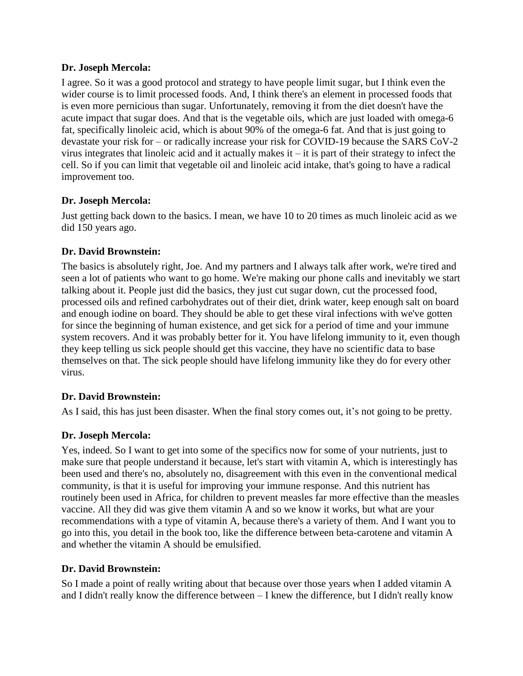I agree. So it was a good protocol and strategy to have people limit sugar, but I think even the wider course is to limit processed foods. And, I think there's an element in processed foods that is even more pernicious than sugar. Unfortunately, removing it from the diet doesn't have the acute impact that sugar does. And that is the vegetable oils, which are just loaded with omega-6 fat, specifically linoleic acid, which is about 90% of the omega-6 fat. And that is just going to devastate your risk for – or radically increase your risk for COVID-19 because the SARS CoV-2 virus integrates that linoleic acid and it actually makes  $it - it$  is part of their strategy to infect the cell. So if you can limit that vegetable oil and linoleic acid intake, that's going to have a radical improvement too.

# **Dr. Joseph Mercola:**

Just getting back down to the basics. I mean, we have 10 to 20 times as much linoleic acid as we did 150 years ago.

# **Dr. David Brownstein:**

The basics is absolutely right, Joe. And my partners and I always talk after work, we're tired and seen a lot of patients who want to go home. We're making our phone calls and inevitably we start talking about it. People just did the basics, they just cut sugar down, cut the processed food, processed oils and refined carbohydrates out of their diet, drink water, keep enough salt on board and enough iodine on board. They should be able to get these viral infections with we've gotten for since the beginning of human existence, and get sick for a period of time and your immune system recovers. And it was probably better for it. You have lifelong immunity to it, even though they keep telling us sick people should get this vaccine, they have no scientific data to base themselves on that. The sick people should have lifelong immunity like they do for every other virus.

# **Dr. David Brownstein:**

As I said, this has just been disaster. When the final story comes out, it's not going to be pretty.

# **Dr. Joseph Mercola:**

Yes, indeed. So I want to get into some of the specifics now for some of your nutrients, just to make sure that people understand it because, let's start with vitamin A, which is interestingly has been used and there's no, absolutely no, disagreement with this even in the conventional medical community, is that it is useful for improving your immune response. And this nutrient has routinely been used in Africa, for children to prevent measles far more effective than the measles vaccine. All they did was give them vitamin A and so we know it works, but what are your recommendations with a type of vitamin A, because there's a variety of them. And I want you to go into this, you detail in the book too, like the difference between beta-carotene and vitamin A and whether the vitamin A should be emulsified.

# **Dr. David Brownstein:**

So I made a point of really writing about that because over those years when I added vitamin A and I didn't really know the difference between – I knew the difference, but I didn't really know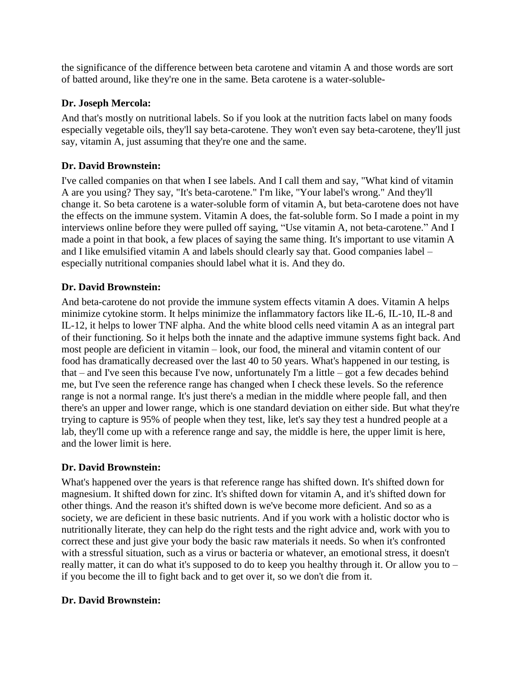the significance of the difference between beta carotene and vitamin A and those words are sort of batted around, like they're one in the same. Beta carotene is a water-soluble-

# **Dr. Joseph Mercola:**

And that's mostly on nutritional labels. So if you look at the nutrition facts label on many foods especially vegetable oils, they'll say beta-carotene. They won't even say beta-carotene, they'll just say, vitamin A, just assuming that they're one and the same.

# **Dr. David Brownstein:**

I've called companies on that when I see labels. And I call them and say, "What kind of vitamin A are you using? They say, "It's beta-carotene." I'm like, "Your label's wrong." And they'll change it. So beta carotene is a water-soluble form of vitamin A, but beta-carotene does not have the effects on the immune system. Vitamin A does, the fat-soluble form. So I made a point in my interviews online before they were pulled off saying, "Use vitamin A, not beta-carotene." And I made a point in that book, a few places of saying the same thing. It's important to use vitamin A and I like emulsified vitamin A and labels should clearly say that. Good companies label – especially nutritional companies should label what it is. And they do.

# **Dr. David Brownstein:**

And beta-carotene do not provide the immune system effects vitamin A does. Vitamin A helps minimize cytokine storm. It helps minimize the inflammatory factors like IL-6, IL-10, IL-8 and IL-12, it helps to lower TNF alpha. And the white blood cells need vitamin A as an integral part of their functioning. So it helps both the innate and the adaptive immune systems fight back. And most people are deficient in vitamin – look, our food, the mineral and vitamin content of our food has dramatically decreased over the last 40 to 50 years. What's happened in our testing, is that – and I've seen this because I've now, unfortunately I'm a little – got a few decades behind me, but I've seen the reference range has changed when I check these levels. So the reference range is not a normal range. It's just there's a median in the middle where people fall, and then there's an upper and lower range, which is one standard deviation on either side. But what they're trying to capture is 95% of people when they test, like, let's say they test a hundred people at a lab, they'll come up with a reference range and say, the middle is here, the upper limit is here, and the lower limit is here.

# **Dr. David Brownstein:**

What's happened over the years is that reference range has shifted down. It's shifted down for magnesium. It shifted down for zinc. It's shifted down for vitamin A, and it's shifted down for other things. And the reason it's shifted down is we've become more deficient. And so as a society, we are deficient in these basic nutrients. And if you work with a holistic doctor who is nutritionally literate, they can help do the right tests and the right advice and, work with you to correct these and just give your body the basic raw materials it needs. So when it's confronted with a stressful situation, such as a virus or bacteria or whatever, an emotional stress, it doesn't really matter, it can do what it's supposed to do to keep you healthy through it. Or allow you to – if you become the ill to fight back and to get over it, so we don't die from it.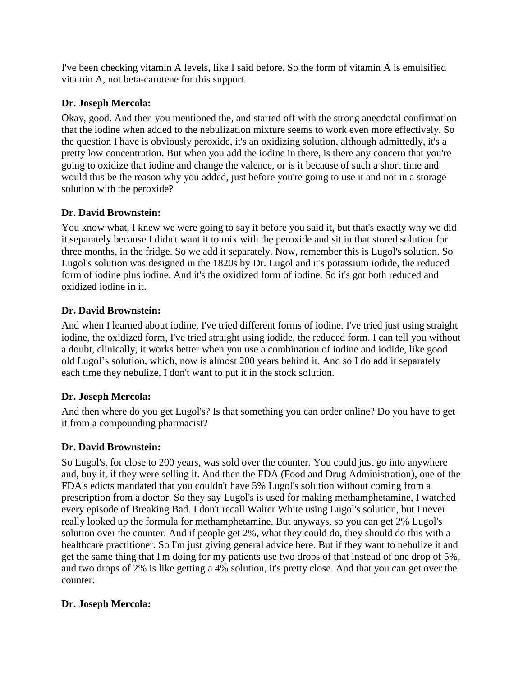I've been checking vitamin A levels, like I said before. So the form of vitamin A is emulsified vitamin A, not beta-carotene for this support.

# **Dr. Joseph Mercola:**

Okay, good. And then you mentioned the, and started off with the strong anecdotal confirmation that the iodine when added to the nebulization mixture seems to work even more effectively. So the question I have is obviously peroxide, it's an oxidizing solution, although admittedly, it's a pretty low concentration. But when you add the iodine in there, is there any concern that you're going to oxidize that iodine and change the valence, or is it because of such a short time and would this be the reason why you added, just before you're going to use it and not in a storage solution with the peroxide?

# **Dr. David Brownstein:**

You know what, I knew we were going to say it before you said it, but that's exactly why we did it separately because I didn't want it to mix with the peroxide and sit in that stored solution for three months, in the fridge. So we add it separately. Now, remember this is Lugol's solution. So Lugol's solution was designed in the 1820s by Dr. Lugol and it's potassium iodide, the reduced form of iodine plus iodine. And it's the oxidized form of iodine. So it's got both reduced and oxidized iodine in it.

# **Dr. David Brownstein:**

And when I learned about iodine, I've tried different forms of iodine. I've tried just using straight iodine, the oxidized form, I've tried straight using iodide, the reduced form. I can tell you without a doubt, clinically, it works better when you use a combination of iodine and iodide, like good old Lugol's solution, which, now is almost 200 years behind it. And so I do add it separately each time they nebulize, I don't want to put it in the stock solution.

# **Dr. Joseph Mercola:**

And then where do you get Lugol's? Is that something you can order online? Do you have to get it from a compounding pharmacist?

# **Dr. David Brownstein:**

So Lugol's, for close to 200 years, was sold over the counter. You could just go into anywhere and, buy it, if they were selling it. And then the FDA (Food and Drug Administration), one of the FDA's edicts mandated that you couldn't have 5% Lugol's solution without coming from a prescription from a doctor. So they say Lugol's is used for making methamphetamine, I watched every episode of Breaking Bad. I don't recall Walter White using Lugol's solution, but I never really looked up the formula for methamphetamine. But anyways, so you can get 2% Lugol's solution over the counter. And if people get 2%, what they could do, they should do this with a healthcare practitioner. So I'm just giving general advice here. But if they want to nebulize it and get the same thing that I'm doing for my patients use two drops of that instead of one drop of 5%, and two drops of 2% is like getting a 4% solution, it's pretty close. And that you can get over the counter.

# **Dr. Joseph Mercola:**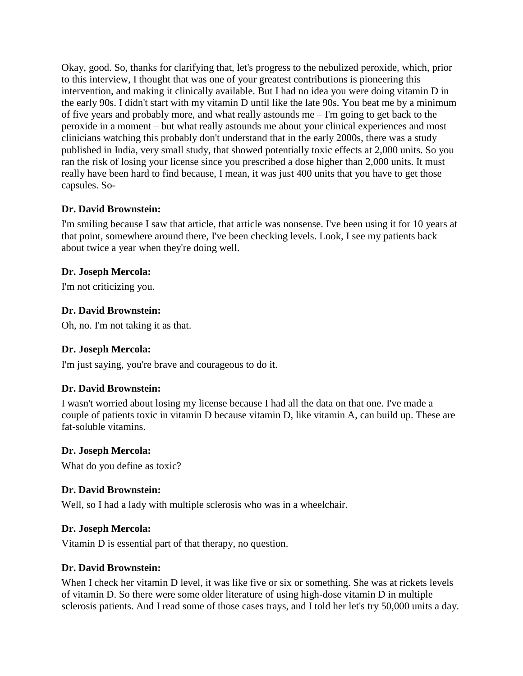Okay, good. So, thanks for clarifying that, let's progress to the nebulized peroxide, which, prior to this interview, I thought that was one of your greatest contributions is pioneering this intervention, and making it clinically available. But I had no idea you were doing vitamin D in the early 90s. I didn't start with my vitamin D until like the late 90s. You beat me by a minimum of five years and probably more, and what really astounds me – I'm going to get back to the peroxide in a moment – but what really astounds me about your clinical experiences and most clinicians watching this probably don't understand that in the early 2000s, there was a study published in India, very small study, that showed potentially toxic effects at 2,000 units. So you ran the risk of losing your license since you prescribed a dose higher than 2,000 units. It must really have been hard to find because, I mean, it was just 400 units that you have to get those capsules. So-

# **Dr. David Brownstein:**

I'm smiling because I saw that article, that article was nonsense. I've been using it for 10 years at that point, somewhere around there, I've been checking levels. Look, I see my patients back about twice a year when they're doing well.

# **Dr. Joseph Mercola:**

I'm not criticizing you.

# **Dr. David Brownstein:**

Oh, no. I'm not taking it as that.

# **Dr. Joseph Mercola:**

I'm just saying, you're brave and courageous to do it.

# **Dr. David Brownstein:**

I wasn't worried about losing my license because I had all the data on that one. I've made a couple of patients toxic in vitamin D because vitamin D, like vitamin A, can build up. These are fat-soluble vitamins.

# **Dr. Joseph Mercola:**

What do you define as toxic?

# **Dr. David Brownstein:**

Well, so I had a lady with multiple sclerosis who was in a wheelchair.

# **Dr. Joseph Mercola:**

Vitamin D is essential part of that therapy, no question.

# **Dr. David Brownstein:**

When I check her vitamin D level, it was like five or six or something. She was at rickets levels of vitamin D. So there were some older literature of using high-dose vitamin D in multiple sclerosis patients. And I read some of those cases trays, and I told her let's try 50,000 units a day.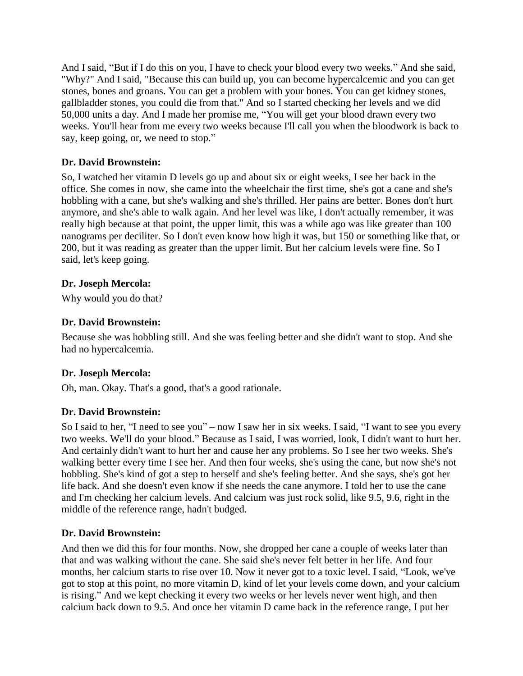And I said, "But if I do this on you, I have to check your blood every two weeks." And she said, "Why?" And I said, "Because this can build up, you can become hypercalcemic and you can get stones, bones and groans. You can get a problem with your bones. You can get kidney stones, gallbladder stones, you could die from that." And so I started checking her levels and we did 50,000 units a day. And I made her promise me, "You will get your blood drawn every two weeks. You'll hear from me every two weeks because I'll call you when the bloodwork is back to say, keep going, or, we need to stop."

# **Dr. David Brownstein:**

So, I watched her vitamin D levels go up and about six or eight weeks, I see her back in the office. She comes in now, she came into the wheelchair the first time, she's got a cane and she's hobbling with a cane, but she's walking and she's thrilled. Her pains are better. Bones don't hurt anymore, and she's able to walk again. And her level was like, I don't actually remember, it was really high because at that point, the upper limit, this was a while ago was like greater than 100 nanograms per deciliter. So I don't even know how high it was, but 150 or something like that, or 200, but it was reading as greater than the upper limit. But her calcium levels were fine. So I said, let's keep going.

# **Dr. Joseph Mercola:**

Why would you do that?

# **Dr. David Brownstein:**

Because she was hobbling still. And she was feeling better and she didn't want to stop. And she had no hypercalcemia.

# **Dr. Joseph Mercola:**

Oh, man. Okay. That's a good, that's a good rationale.

# **Dr. David Brownstein:**

So I said to her, "I need to see you" – now I saw her in six weeks. I said, "I want to see you every two weeks. We'll do your blood." Because as I said, I was worried, look, I didn't want to hurt her. And certainly didn't want to hurt her and cause her any problems. So I see her two weeks. She's walking better every time I see her. And then four weeks, she's using the cane, but now she's not hobbling. She's kind of got a step to herself and she's feeling better. And she says, she's got her life back. And she doesn't even know if she needs the cane anymore. I told her to use the cane and I'm checking her calcium levels. And calcium was just rock solid, like 9.5, 9.6, right in the middle of the reference range, hadn't budged.

# **Dr. David Brownstein:**

And then we did this for four months. Now, she dropped her cane a couple of weeks later than that and was walking without the cane. She said she's never felt better in her life. And four months, her calcium starts to rise over 10. Now it never got to a toxic level. I said, "Look, we've got to stop at this point, no more vitamin D, kind of let your levels come down, and your calcium is rising." And we kept checking it every two weeks or her levels never went high, and then calcium back down to 9.5. And once her vitamin D came back in the reference range, I put her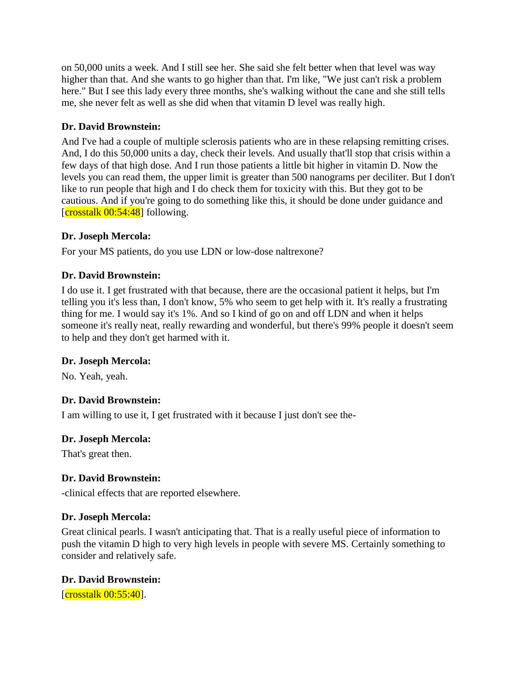on 50,000 units a week. And I still see her. She said she felt better when that level was way higher than that. And she wants to go higher than that. I'm like, "We just can't risk a problem here." But I see this lady every three months, she's walking without the cane and she still tells me, she never felt as well as she did when that vitamin D level was really high.

# **Dr. David Brownstein:**

And I've had a couple of multiple sclerosis patients who are in these relapsing remitting crises. And, I do this 50,000 units a day, check their levels. And usually that'll stop that crisis within a few days of that high dose. And I run those patients a little bit higher in vitamin D. Now the levels you can read them, the upper limit is greater than 500 nanograms per deciliter. But I don't like to run people that high and I do check them for toxicity with this. But they got to be cautious. And if you're going to do something like this, it should be done under guidance and  $[{\rm crosstalk~00:54:48}]$  following.

# **Dr. Joseph Mercola:**

For your MS patients, do you use LDN or low-dose naltrexone?

# **Dr. David Brownstein:**

I do use it. I get frustrated with that because, there are the occasional patient it helps, but I'm telling you it's less than, I don't know, 5% who seem to get help with it. It's really a frustrating thing for me. I would say it's 1%. And so I kind of go on and off LDN and when it helps someone it's really neat, really rewarding and wonderful, but there's 99% people it doesn't seem to help and they don't get harmed with it.

# **Dr. Joseph Mercola:**

No. Yeah, yeah.

# **Dr. David Brownstein:**

I am willing to use it, I get frustrated with it because I just don't see the-

# **Dr. Joseph Mercola:**

That's great then.

# **Dr. David Brownstein:**

-clinical effects that are reported elsewhere.

# **Dr. Joseph Mercola:**

Great clinical pearls. I wasn't anticipating that. That is a really useful piece of information to push the vitamin D high to very high levels in people with severe MS. Certainly something to consider and relatively safe.

# **Dr. David Brownstein:**

 $[{\rm crosstalk~00:55:40}].$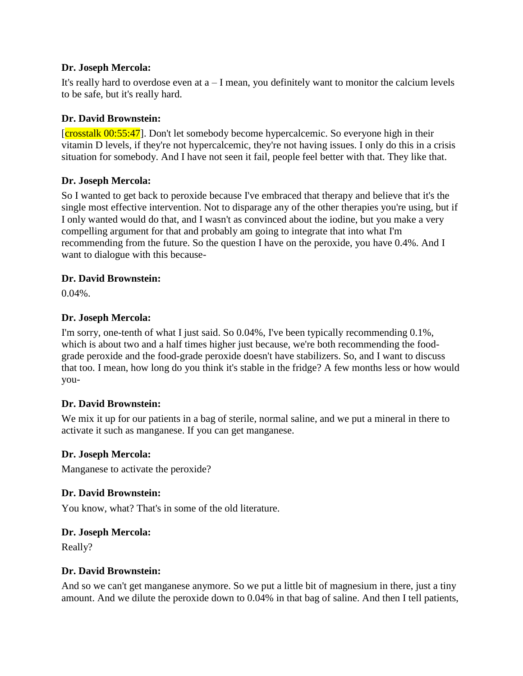It's really hard to overdose even at  $a - I$  mean, you definitely want to monitor the calcium levels to be safe, but it's really hard.

#### **Dr. David Brownstein:**

[crosstalk 00:55:47]. Don't let somebody become hypercalcemic. So everyone high in their vitamin D levels, if they're not hypercalcemic, they're not having issues. I only do this in a crisis situation for somebody. And I have not seen it fail, people feel better with that. They like that.

# **Dr. Joseph Mercola:**

So I wanted to get back to peroxide because I've embraced that therapy and believe that it's the single most effective intervention. Not to disparage any of the other therapies you're using, but if I only wanted would do that, and I wasn't as convinced about the iodine, but you make a very compelling argument for that and probably am going to integrate that into what I'm recommending from the future. So the question I have on the peroxide, you have 0.4%. And I want to dialogue with this because-

#### **Dr. David Brownstein:**

0.04%.

#### **Dr. Joseph Mercola:**

I'm sorry, one-tenth of what I just said. So 0.04%, I've been typically recommending 0.1%, which is about two and a half times higher just because, we're both recommending the foodgrade peroxide and the food-grade peroxide doesn't have stabilizers. So, and I want to discuss that too. I mean, how long do you think it's stable in the fridge? A few months less or how would you-

# **Dr. David Brownstein:**

We mix it up for our patients in a bag of sterile, normal saline, and we put a mineral in there to activate it such as manganese. If you can get manganese.

#### **Dr. Joseph Mercola:**

Manganese to activate the peroxide?

# **Dr. David Brownstein:**

You know, what? That's in some of the old literature.

#### **Dr. Joseph Mercola:**

Really?

# **Dr. David Brownstein:**

And so we can't get manganese anymore. So we put a little bit of magnesium in there, just a tiny amount. And we dilute the peroxide down to 0.04% in that bag of saline. And then I tell patients,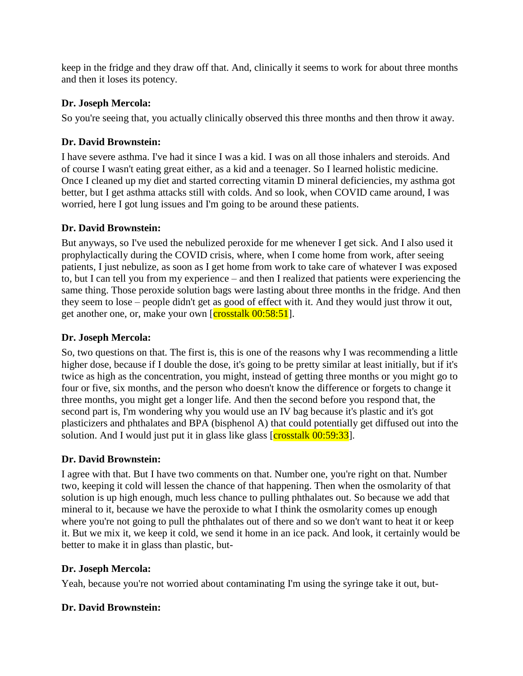keep in the fridge and they draw off that. And, clinically it seems to work for about three months and then it loses its potency.

# **Dr. Joseph Mercola:**

So you're seeing that, you actually clinically observed this three months and then throw it away.

# **Dr. David Brownstein:**

I have severe asthma. I've had it since I was a kid. I was on all those inhalers and steroids. And of course I wasn't eating great either, as a kid and a teenager. So I learned holistic medicine. Once I cleaned up my diet and started correcting vitamin D mineral deficiencies, my asthma got better, but I get asthma attacks still with colds. And so look, when COVID came around, I was worried, here I got lung issues and I'm going to be around these patients.

# **Dr. David Brownstein:**

But anyways, so I've used the nebulized peroxide for me whenever I get sick. And I also used it prophylactically during the COVID crisis, where, when I come home from work, after seeing patients, I just nebulize, as soon as I get home from work to take care of whatever I was exposed to, but I can tell you from my experience – and then I realized that patients were experiencing the same thing. Those peroxide solution bags were lasting about three months in the fridge. And then they seem to lose – people didn't get as good of effect with it. And they would just throw it out, get another one, or, make your own [crosstalk 00:58:51].

# **Dr. Joseph Mercola:**

So, two questions on that. The first is, this is one of the reasons why I was recommending a little higher dose, because if I double the dose, it's going to be pretty similar at least initially, but if it's twice as high as the concentration, you might, instead of getting three months or you might go to four or five, six months, and the person who doesn't know the difference or forgets to change it three months, you might get a longer life. And then the second before you respond that, the second part is, I'm wondering why you would use an IV bag because it's plastic and it's got plasticizers and phthalates and BPA (bisphenol A) that could potentially get diffused out into the solution. And I would just put it in glass like glass  $\left[{\rm crosstalk}\,00:59:33\right]$ .

# **Dr. David Brownstein:**

I agree with that. But I have two comments on that. Number one, you're right on that. Number two, keeping it cold will lessen the chance of that happening. Then when the osmolarity of that solution is up high enough, much less chance to pulling phthalates out. So because we add that mineral to it, because we have the peroxide to what I think the osmolarity comes up enough where you're not going to pull the phthalates out of there and so we don't want to heat it or keep it. But we mix it, we keep it cold, we send it home in an ice pack. And look, it certainly would be better to make it in glass than plastic, but-

# **Dr. Joseph Mercola:**

Yeah, because you're not worried about contaminating I'm using the syringe take it out, but-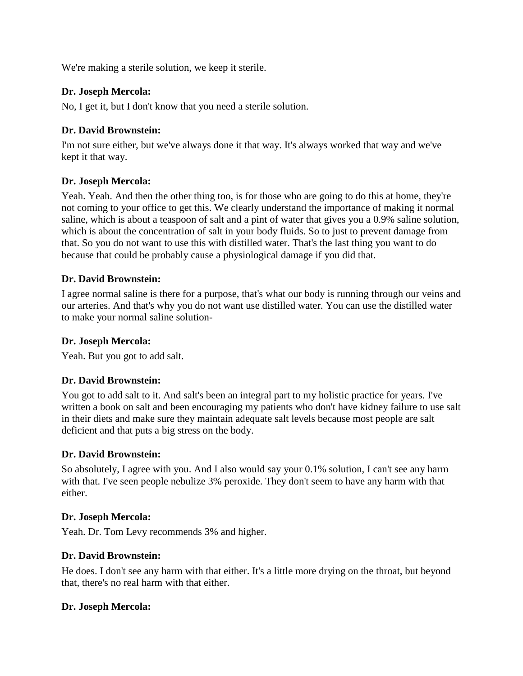We're making a sterile solution, we keep it sterile.

#### **Dr. Joseph Mercola:**

No, I get it, but I don't know that you need a sterile solution.

#### **Dr. David Brownstein:**

I'm not sure either, but we've always done it that way. It's always worked that way and we've kept it that way.

# **Dr. Joseph Mercola:**

Yeah. Yeah. And then the other thing too, is for those who are going to do this at home, they're not coming to your office to get this. We clearly understand the importance of making it normal saline, which is about a teaspoon of salt and a pint of water that gives you a 0.9% saline solution, which is about the concentration of salt in your body fluids. So to just to prevent damage from that. So you do not want to use this with distilled water. That's the last thing you want to do because that could be probably cause a physiological damage if you did that.

#### **Dr. David Brownstein:**

I agree normal saline is there for a purpose, that's what our body is running through our veins and our arteries. And that's why you do not want use distilled water. You can use the distilled water to make your normal saline solution-

#### **Dr. Joseph Mercola:**

Yeah. But you got to add salt.

# **Dr. David Brownstein:**

You got to add salt to it. And salt's been an integral part to my holistic practice for years. I've written a book on salt and been encouraging my patients who don't have kidney failure to use salt in their diets and make sure they maintain adequate salt levels because most people are salt deficient and that puts a big stress on the body.

# **Dr. David Brownstein:**

So absolutely, I agree with you. And I also would say your 0.1% solution, I can't see any harm with that. I've seen people nebulize 3% peroxide. They don't seem to have any harm with that either.

#### **Dr. Joseph Mercola:**

Yeah. Dr. Tom Levy recommends 3% and higher.

# **Dr. David Brownstein:**

He does. I don't see any harm with that either. It's a little more drying on the throat, but beyond that, there's no real harm with that either.

#### **Dr. Joseph Mercola:**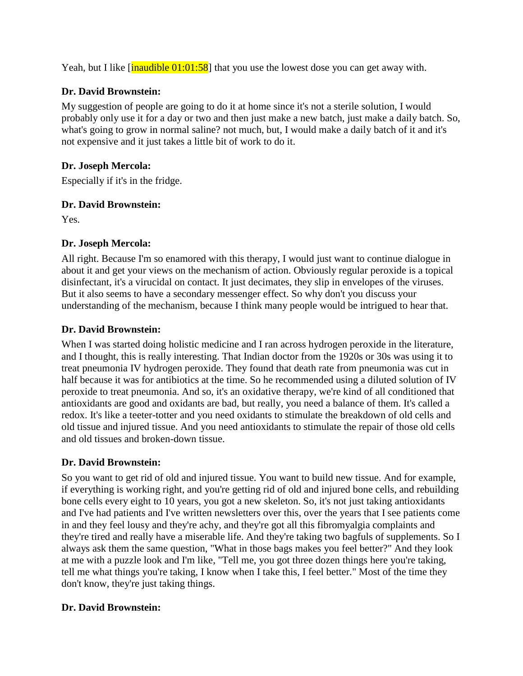Yeah, but I like [inaudible 01:01:58] that you use the lowest dose you can get away with.

# **Dr. David Brownstein:**

My suggestion of people are going to do it at home since it's not a sterile solution, I would probably only use it for a day or two and then just make a new batch, just make a daily batch. So, what's going to grow in normal saline? not much, but, I would make a daily batch of it and it's not expensive and it just takes a little bit of work to do it.

# **Dr. Joseph Mercola:**

Especially if it's in the fridge.

# **Dr. David Brownstein:**

Yes.

# **Dr. Joseph Mercola:**

All right. Because I'm so enamored with this therapy, I would just want to continue dialogue in about it and get your views on the mechanism of action. Obviously regular peroxide is a topical disinfectant, it's a virucidal on contact. It just decimates, they slip in envelopes of the viruses. But it also seems to have a secondary messenger effect. So why don't you discuss your understanding of the mechanism, because I think many people would be intrigued to hear that.

# **Dr. David Brownstein:**

When I was started doing holistic medicine and I ran across hydrogen peroxide in the literature, and I thought, this is really interesting. That Indian doctor from the 1920s or 30s was using it to treat pneumonia IV hydrogen peroxide. They found that death rate from pneumonia was cut in half because it was for antibiotics at the time. So he recommended using a diluted solution of IV peroxide to treat pneumonia. And so, it's an oxidative therapy, we're kind of all conditioned that antioxidants are good and oxidants are bad, but really, you need a balance of them. It's called a redox. It's like a teeter-totter and you need oxidants to stimulate the breakdown of old cells and old tissue and injured tissue. And you need antioxidants to stimulate the repair of those old cells and old tissues and broken-down tissue.

# **Dr. David Brownstein:**

So you want to get rid of old and injured tissue. You want to build new tissue. And for example, if everything is working right, and you're getting rid of old and injured bone cells, and rebuilding bone cells every eight to 10 years, you got a new skeleton. So, it's not just taking antioxidants and I've had patients and I've written newsletters over this, over the years that I see patients come in and they feel lousy and they're achy, and they're got all this fibromyalgia complaints and they're tired and really have a miserable life. And they're taking two bagfuls of supplements. So I always ask them the same question, "What in those bags makes you feel better?" And they look at me with a puzzle look and I'm like, "Tell me, you got three dozen things here you're taking, tell me what things you're taking, I know when I take this, I feel better." Most of the time they don't know, they're just taking things.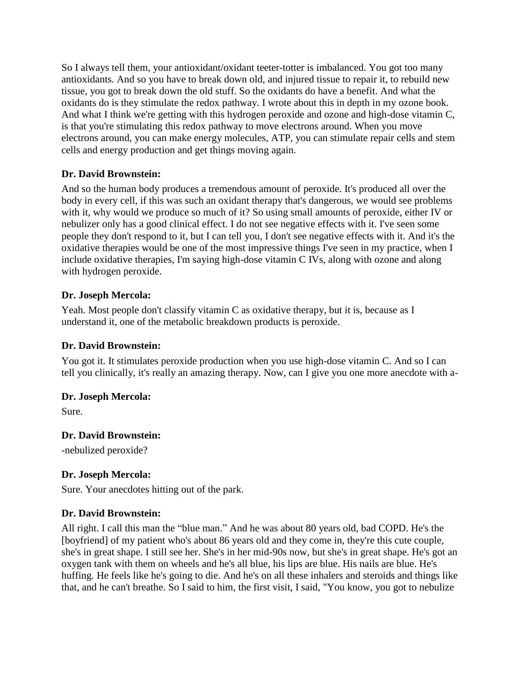So I always tell them, your antioxidant/oxidant teeter-totter is imbalanced. You got too many antioxidants. And so you have to break down old, and injured tissue to repair it, to rebuild new tissue, you got to break down the old stuff. So the oxidants do have a benefit. And what the oxidants do is they stimulate the redox pathway. I wrote about this in depth in my ozone book. And what I think we're getting with this hydrogen peroxide and ozone and high-dose vitamin C, is that you're stimulating this redox pathway to move electrons around. When you move electrons around, you can make energy molecules, ATP, you can stimulate repair cells and stem cells and energy production and get things moving again.

# **Dr. David Brownstein:**

And so the human body produces a tremendous amount of peroxide. It's produced all over the body in every cell, if this was such an oxidant therapy that's dangerous, we would see problems with it, why would we produce so much of it? So using small amounts of peroxide, either IV or nebulizer only has a good clinical effect. I do not see negative effects with it. I've seen some people they don't respond to it, but I can tell you, I don't see negative effects with it. And it's the oxidative therapies would be one of the most impressive things I've seen in my practice, when I include oxidative therapies, I'm saying high-dose vitamin C IVs, along with ozone and along with hydrogen peroxide.

# **Dr. Joseph Mercola:**

Yeah. Most people don't classify vitamin C as oxidative therapy, but it is, because as I understand it, one of the metabolic breakdown products is peroxide.

# **Dr. David Brownstein:**

You got it. It stimulates peroxide production when you use high-dose vitamin C. And so I can tell you clinically, it's really an amazing therapy. Now, can I give you one more anecdote with a-

# **Dr. Joseph Mercola:**

Sure.

# **Dr. David Brownstein:**

-nebulized peroxide?

# **Dr. Joseph Mercola:**

Sure. Your anecdotes hitting out of the park.

# **Dr. David Brownstein:**

All right. I call this man the "blue man." And he was about 80 years old, bad COPD. He's the [boyfriend] of my patient who's about 86 years old and they come in, they're this cute couple, she's in great shape. I still see her. She's in her mid-90s now, but she's in great shape. He's got an oxygen tank with them on wheels and he's all blue, his lips are blue. His nails are blue. He's huffing. He feels like he's going to die. And he's on all these inhalers and steroids and things like that, and he can't breathe. So I said to him, the first visit, I said, "You know, you got to nebulize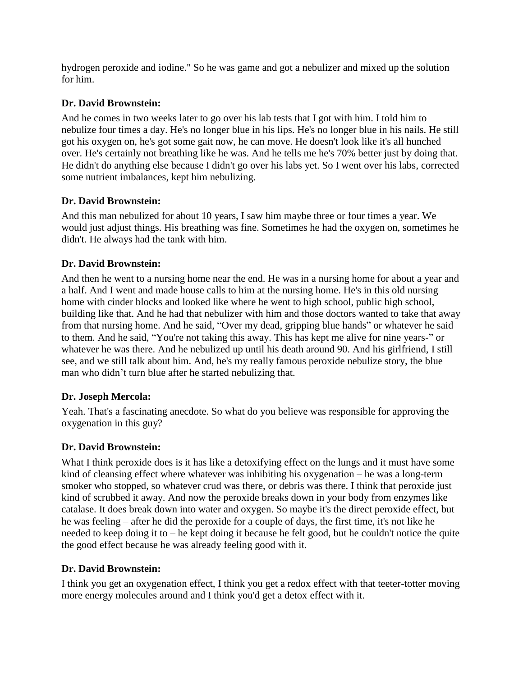hydrogen peroxide and iodine." So he was game and got a nebulizer and mixed up the solution for him.

# **Dr. David Brownstein:**

And he comes in two weeks later to go over his lab tests that I got with him. I told him to nebulize four times a day. He's no longer blue in his lips. He's no longer blue in his nails. He still got his oxygen on, he's got some gait now, he can move. He doesn't look like it's all hunched over. He's certainly not breathing like he was. And he tells me he's 70% better just by doing that. He didn't do anything else because I didn't go over his labs yet. So I went over his labs, corrected some nutrient imbalances, kept him nebulizing.

# **Dr. David Brownstein:**

And this man nebulized for about 10 years, I saw him maybe three or four times a year. We would just adjust things. His breathing was fine. Sometimes he had the oxygen on, sometimes he didn't. He always had the tank with him.

# **Dr. David Brownstein:**

And then he went to a nursing home near the end. He was in a nursing home for about a year and a half. And I went and made house calls to him at the nursing home. He's in this old nursing home with cinder blocks and looked like where he went to high school, public high school, building like that. And he had that nebulizer with him and those doctors wanted to take that away from that nursing home. And he said, "Over my dead, gripping blue hands" or whatever he said to them. And he said, "You're not taking this away. This has kept me alive for nine years-" or whatever he was there. And he nebulized up until his death around 90. And his girlfriend, I still see, and we still talk about him. And, he's my really famous peroxide nebulize story, the blue man who didn't turn blue after he started nebulizing that.

# **Dr. Joseph Mercola:**

Yeah. That's a fascinating anecdote. So what do you believe was responsible for approving the oxygenation in this guy?

# **Dr. David Brownstein:**

What I think peroxide does is it has like a detoxifying effect on the lungs and it must have some kind of cleansing effect where whatever was inhibiting his oxygenation – he was a long-term smoker who stopped, so whatever crud was there, or debris was there. I think that peroxide just kind of scrubbed it away. And now the peroxide breaks down in your body from enzymes like catalase. It does break down into water and oxygen. So maybe it's the direct peroxide effect, but he was feeling – after he did the peroxide for a couple of days, the first time, it's not like he needed to keep doing it to – he kept doing it because he felt good, but he couldn't notice the quite the good effect because he was already feeling good with it.

# **Dr. David Brownstein:**

I think you get an oxygenation effect, I think you get a redox effect with that teeter-totter moving more energy molecules around and I think you'd get a detox effect with it.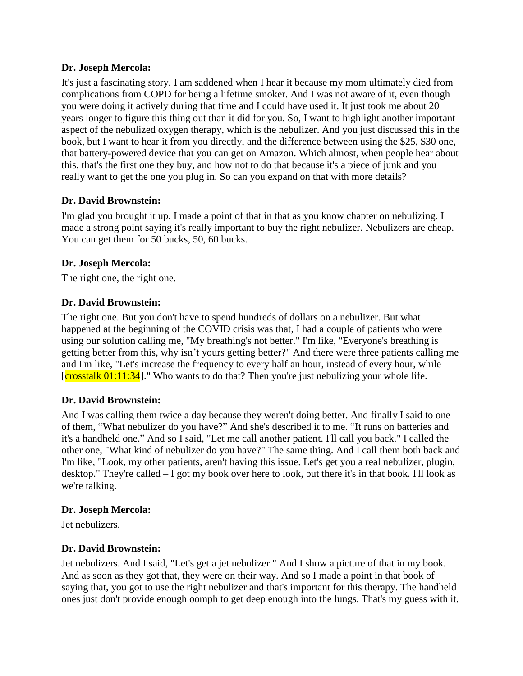It's just a fascinating story. I am saddened when I hear it because my mom ultimately died from complications from COPD for being a lifetime smoker. And I was not aware of it, even though you were doing it actively during that time and I could have used it. It just took me about 20 years longer to figure this thing out than it did for you. So, I want to highlight another important aspect of the nebulized oxygen therapy, which is the nebulizer. And you just discussed this in the book, but I want to hear it from you directly, and the difference between using the \$25, \$30 one, that battery-powered device that you can get on Amazon. Which almost, when people hear about this, that's the first one they buy, and how not to do that because it's a piece of junk and you really want to get the one you plug in. So can you expand on that with more details?

# **Dr. David Brownstein:**

I'm glad you brought it up. I made a point of that in that as you know chapter on nebulizing. I made a strong point saying it's really important to buy the right nebulizer. Nebulizers are cheap. You can get them for 50 bucks, 50, 60 bucks.

# **Dr. Joseph Mercola:**

The right one, the right one.

#### **Dr. David Brownstein:**

The right one. But you don't have to spend hundreds of dollars on a nebulizer. But what happened at the beginning of the COVID crisis was that, I had a couple of patients who were using our solution calling me, "My breathing's not better." I'm like, "Everyone's breathing is getting better from this, why isn't yours getting better?" And there were three patients calling me and I'm like, "Let's increase the frequency to every half an hour, instead of every hour, while  $[{\rm crosstalk~01:11:34}]$ ." Who wants to do that? Then you're just nebulizing your whole life.

# **Dr. David Brownstein:**

And I was calling them twice a day because they weren't doing better. And finally I said to one of them, "What nebulizer do you have?" And she's described it to me. "It runs on batteries and it's a handheld one." And so I said, "Let me call another patient. I'll call you back." I called the other one, "What kind of nebulizer do you have?" The same thing. And I call them both back and I'm like, "Look, my other patients, aren't having this issue. Let's get you a real nebulizer, plugin, desktop." They're called – I got my book over here to look, but there it's in that book. I'll look as we're talking.

#### **Dr. Joseph Mercola:**

Jet nebulizers.

# **Dr. David Brownstein:**

Jet nebulizers. And I said, "Let's get a jet nebulizer." And I show a picture of that in my book. And as soon as they got that, they were on their way. And so I made a point in that book of saying that, you got to use the right nebulizer and that's important for this therapy. The handheld ones just don't provide enough oomph to get deep enough into the lungs. That's my guess with it.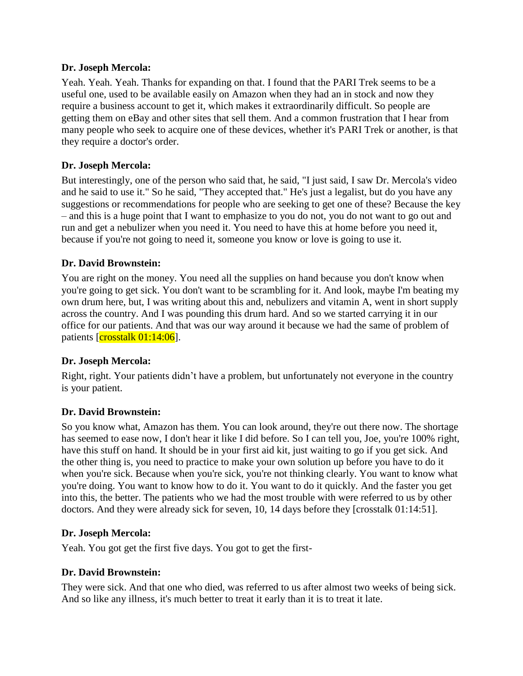Yeah. Yeah. Yeah. Thanks for expanding on that. I found that the PARI Trek seems to be a useful one, used to be available easily on Amazon when they had an in stock and now they require a business account to get it, which makes it extraordinarily difficult. So people are getting them on eBay and other sites that sell them. And a common frustration that I hear from many people who seek to acquire one of these devices, whether it's PARI Trek or another, is that they require a doctor's order.

#### **Dr. Joseph Mercola:**

But interestingly, one of the person who said that, he said, "I just said, I saw Dr. Mercola's video and he said to use it." So he said, "They accepted that." He's just a legalist, but do you have any suggestions or recommendations for people who are seeking to get one of these? Because the key – and this is a huge point that I want to emphasize to you do not, you do not want to go out and run and get a nebulizer when you need it. You need to have this at home before you need it, because if you're not going to need it, someone you know or love is going to use it.

# **Dr. David Brownstein:**

You are right on the money. You need all the supplies on hand because you don't know when you're going to get sick. You don't want to be scrambling for it. And look, maybe I'm beating my own drum here, but, I was writing about this and, nebulizers and vitamin A, went in short supply across the country. And I was pounding this drum hard. And so we started carrying it in our office for our patients. And that was our way around it because we had the same of problem of patients [crosstalk 01:14:06].

# **Dr. Joseph Mercola:**

Right, right. Your patients didn't have a problem, but unfortunately not everyone in the country is your patient.

#### **Dr. David Brownstein:**

So you know what, Amazon has them. You can look around, they're out there now. The shortage has seemed to ease now, I don't hear it like I did before. So I can tell you, Joe, you're 100% right, have this stuff on hand. It should be in your first aid kit, just waiting to go if you get sick. And the other thing is, you need to practice to make your own solution up before you have to do it when you're sick. Because when you're sick, you're not thinking clearly. You want to know what you're doing. You want to know how to do it. You want to do it quickly. And the faster you get into this, the better. The patients who we had the most trouble with were referred to us by other doctors. And they were already sick for seven, 10, 14 days before they [crosstalk 01:14:51].

#### **Dr. Joseph Mercola:**

Yeah. You got get the first five days. You got to get the first-

#### **Dr. David Brownstein:**

They were sick. And that one who died, was referred to us after almost two weeks of being sick. And so like any illness, it's much better to treat it early than it is to treat it late.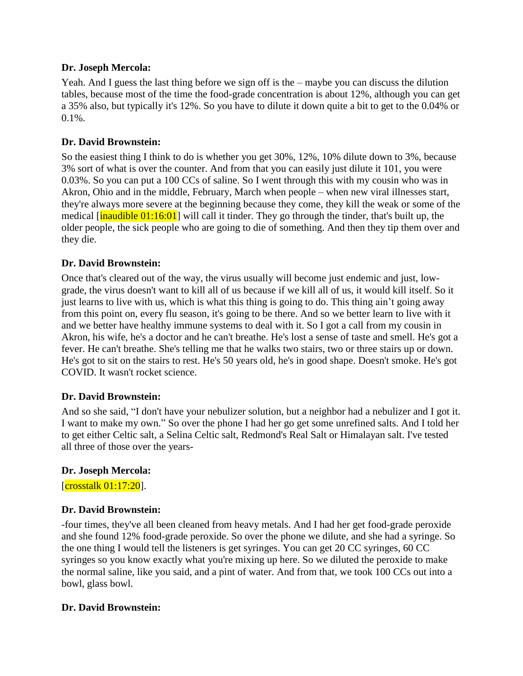Yeah. And I guess the last thing before we sign off is the – maybe you can discuss the dilution tables, because most of the time the food-grade concentration is about 12%, although you can get a 35% also, but typically it's 12%. So you have to dilute it down quite a bit to get to the 0.04% or  $0.1\%$ .

# **Dr. David Brownstein:**

So the easiest thing I think to do is whether you get 30%, 12%, 10% dilute down to 3%, because 3% sort of what is over the counter. And from that you can easily just dilute it 101, you were 0.03%. So you can put a 100 CCs of saline. So I went through this with my cousin who was in Akron, Ohio and in the middle, February, March when people – when new viral illnesses start, they're always more severe at the beginning because they come, they kill the weak or some of the medical  $\left[\frac{\text{inaudible } 01:16:01}{\text{inadible } 01:16:01}\right]$  will call it tinder. They go through the tinder, that's built up, the older people, the sick people who are going to die of something. And then they tip them over and they die.

# **Dr. David Brownstein:**

Once that's cleared out of the way, the virus usually will become just endemic and just, lowgrade, the virus doesn't want to kill all of us because if we kill all of us, it would kill itself. So it just learns to live with us, which is what this thing is going to do. This thing ain't going away from this point on, every flu season, it's going to be there. And so we better learn to live with it and we better have healthy immune systems to deal with it. So I got a call from my cousin in Akron, his wife, he's a doctor and he can't breathe. He's lost a sense of taste and smell. He's got a fever. He can't breathe. She's telling me that he walks two stairs, two or three stairs up or down. He's got to sit on the stairs to rest. He's 50 years old, he's in good shape. Doesn't smoke. He's got COVID. It wasn't rocket science.

# **Dr. David Brownstein:**

And so she said, "I don't have your nebulizer solution, but a neighbor had a nebulizer and I got it. I want to make my own." So over the phone I had her go get some unrefined salts. And I told her to get either Celtic salt, a Selina Celtic salt, Redmond's Real Salt or Himalayan salt. I've tested all three of those over the years-

# **Dr. Joseph Mercola:**

 $[{\rm crosstalk~01:17:20}].$ 

# **Dr. David Brownstein:**

-four times, they've all been cleaned from heavy metals. And I had her get food-grade peroxide and she found 12% food-grade peroxide. So over the phone we dilute, and she had a syringe. So the one thing I would tell the listeners is get syringes. You can get 20 CC syringes, 60 CC syringes so you know exactly what you're mixing up here. So we diluted the peroxide to make the normal saline, like you said, and a pint of water. And from that, we took 100 CCs out into a bowl, glass bowl.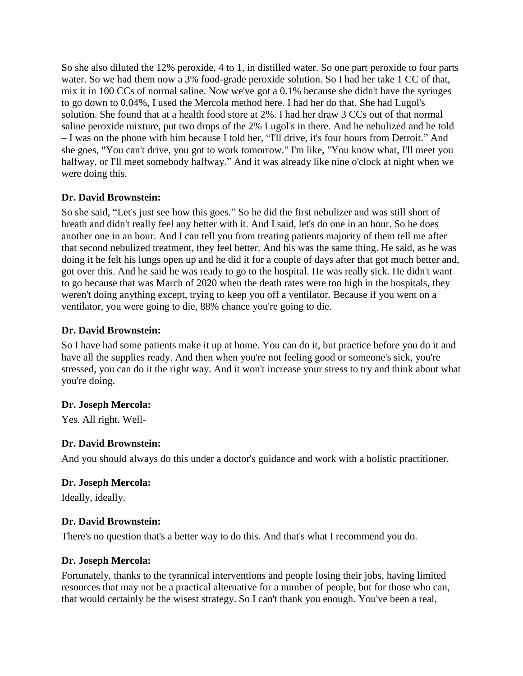So she also diluted the 12% peroxide, 4 to 1, in distilled water. So one part peroxide to four parts water. So we had them now a 3% food-grade peroxide solution. So I had her take 1 CC of that, mix it in 100 CCs of normal saline. Now we've got a 0.1% because she didn't have the syringes to go down to 0.04%, I used the Mercola method here. I had her do that. She had Lugol's solution. She found that at a health food store at 2%. I had her draw 3 CCs out of that normal saline peroxide mixture, put two drops of the 2% Lugol's in there. And he nebulized and he told – I was on the phone with him because I told her, "I'll drive, it's four hours from Detroit." And she goes, "You can't drive, you got to work tomorrow." I'm like, "You know what, I'll meet you halfway, or I'll meet somebody halfway." And it was already like nine o'clock at night when we were doing this.

#### **Dr. David Brownstein:**

So she said, "Let's just see how this goes." So he did the first nebulizer and was still short of breath and didn't really feel any better with it. And I said, let's do one in an hour. So he does another one in an hour. And I can tell you from treating patients majority of them tell me after that second nebulized treatment, they feel better. And his was the same thing. He said, as he was doing it he felt his lungs open up and he did it for a couple of days after that got much better and, got over this. And he said he was ready to go to the hospital. He was really sick. He didn't want to go because that was March of 2020 when the death rates were too high in the hospitals, they weren't doing anything except, trying to keep you off a ventilator. Because if you went on a ventilator, you were going to die, 88% chance you're going to die.

#### **Dr. David Brownstein:**

So I have had some patients make it up at home. You can do it, but practice before you do it and have all the supplies ready. And then when you're not feeling good or someone's sick, you're stressed, you can do it the right way. And it won't increase your stress to try and think about what you're doing.

#### **Dr. Joseph Mercola:**

Yes. All right. Well-

# **Dr. David Brownstein:**

And you should always do this under a doctor's guidance and work with a holistic practitioner.

#### **Dr. Joseph Mercola:**

Ideally, ideally.

#### **Dr. David Brownstein:**

There's no question that's a better way to do this. And that's what I recommend you do.

# **Dr. Joseph Mercola:**

Fortunately, thanks to the tyrannical interventions and people losing their jobs, having limited resources that may not be a practical alternative for a number of people, but for those who can, that would certainly be the wisest strategy. So I can't thank you enough. You've been a real,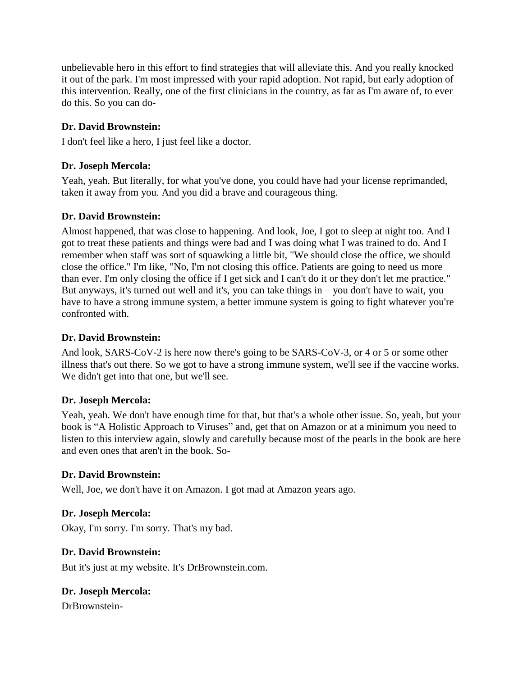unbelievable hero in this effort to find strategies that will alleviate this. And you really knocked it out of the park. I'm most impressed with your rapid adoption. Not rapid, but early adoption of this intervention. Really, one of the first clinicians in the country, as far as I'm aware of, to ever do this. So you can do-

# **Dr. David Brownstein:**

I don't feel like a hero, I just feel like a doctor.

# **Dr. Joseph Mercola:**

Yeah, yeah. But literally, for what you've done, you could have had your license reprimanded, taken it away from you. And you did a brave and courageous thing.

# **Dr. David Brownstein:**

Almost happened, that was close to happening. And look, Joe, I got to sleep at night too. And I got to treat these patients and things were bad and I was doing what I was trained to do. And I remember when staff was sort of squawking a little bit, "We should close the office, we should close the office." I'm like, "No, I'm not closing this office. Patients are going to need us more than ever. I'm only closing the office if I get sick and I can't do it or they don't let me practice." But anyways, it's turned out well and it's, you can take things in – you don't have to wait, you have to have a strong immune system, a better immune system is going to fight whatever you're confronted with.

# **Dr. David Brownstein:**

And look, SARS-CoV-2 is here now there's going to be SARS-CoV-3, or 4 or 5 or some other illness that's out there. So we got to have a strong immune system, we'll see if the vaccine works. We didn't get into that one, but we'll see.

# **Dr. Joseph Mercola:**

Yeah, yeah. We don't have enough time for that, but that's a whole other issue. So, yeah, but your book is "A Holistic Approach to Viruses" and, get that on Amazon or at a minimum you need to listen to this interview again, slowly and carefully because most of the pearls in the book are here and even ones that aren't in the book. So-

# **Dr. David Brownstein:**

Well, Joe, we don't have it on Amazon. I got mad at Amazon years ago.

# **Dr. Joseph Mercola:**

Okay, I'm sorry. I'm sorry. That's my bad.

# **Dr. David Brownstein:**

But it's just at my website. It's DrBrownstein.com.

# **Dr. Joseph Mercola:**

DrBrownstein-